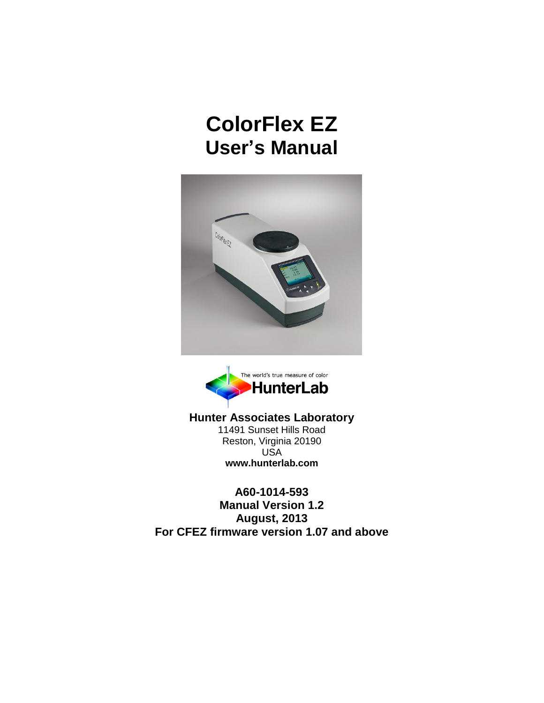# **ColorFlex EZ User's Manual**





**Hunter Associates Laboratory** 11491 Sunset Hills Road Reston, Virginia 20190 USA

**www.hunterlab.com**

**A60-1014-593 Manual Version 1.2 August, 2013 For CFEZ firmware version 1.07 and above**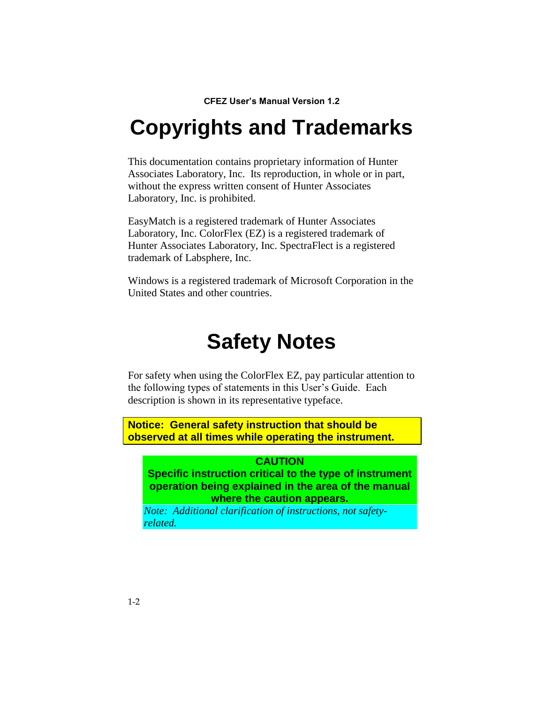# **Copyrights and Trademarks**

This documentation contains proprietary information of Hunter Associates Laboratory, Inc. Its reproduction, in whole or in part, without the express written consent of Hunter Associates Laboratory, Inc. is prohibited.

EasyMatch is a registered trademark of Hunter Associates Laboratory, Inc. ColorFlex (EZ) is a registered trademark of Hunter Associates Laboratory, Inc. SpectraFlect is a registered trademark of Labsphere, Inc.

Windows is a registered trademark of Microsoft Corporation in the United States and other countries.

# **Safety Notes**

For safety when using the ColorFlex EZ, pay particular attention to the following types of statements in this User's Guide. Each description is shown in its representative typeface.

**Notice: General safety instruction that should be observed at all times while operating the instrument.**

#### **CAUTION**

**Specific instruction critical to the type of instrument operation being explained in the area of the manual where the caution appears.**

*Note: Additional clarification of instructions, not safetyrelated.*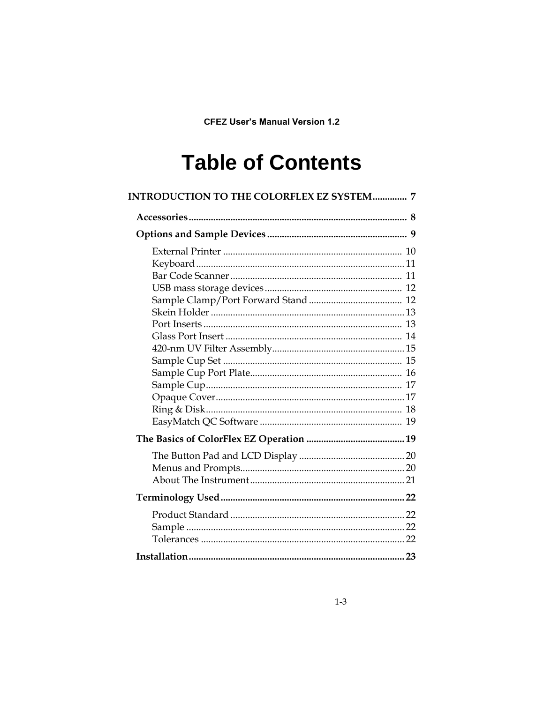# **Table of Contents**

| <b>INTRODUCTION TO THE COLORFLEX EZ SYSTEM 7</b> |  |  |
|--------------------------------------------------|--|--|
|                                                  |  |  |
|                                                  |  |  |
|                                                  |  |  |
|                                                  |  |  |
| 11                                               |  |  |
|                                                  |  |  |
|                                                  |  |  |
|                                                  |  |  |
|                                                  |  |  |
|                                                  |  |  |
|                                                  |  |  |
|                                                  |  |  |
|                                                  |  |  |
|                                                  |  |  |
|                                                  |  |  |
|                                                  |  |  |
|                                                  |  |  |
|                                                  |  |  |
|                                                  |  |  |
|                                                  |  |  |
|                                                  |  |  |
|                                                  |  |  |
|                                                  |  |  |
|                                                  |  |  |
|                                                  |  |  |
|                                                  |  |  |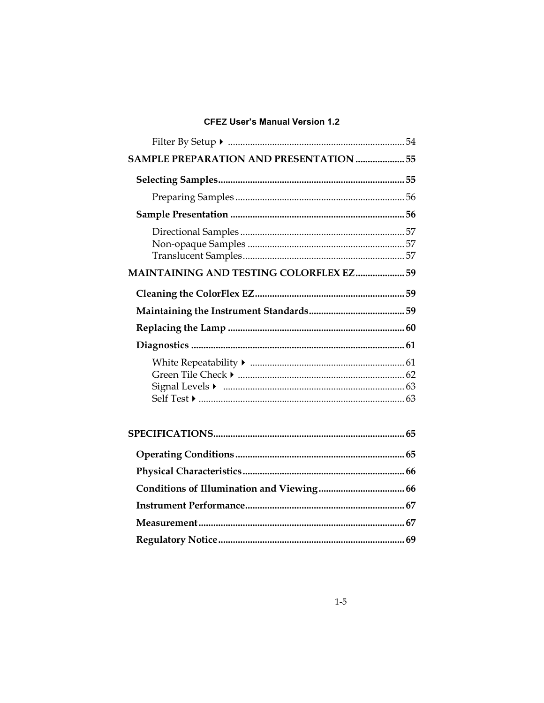| <b>SAMPLE PREPARATION AND PRESENTATION  55</b> |  |
|------------------------------------------------|--|
|                                                |  |
|                                                |  |
|                                                |  |
|                                                |  |
| MAINTAINING AND TESTING COLORFLEX EZ 59        |  |
|                                                |  |
|                                                |  |
|                                                |  |
|                                                |  |
|                                                |  |
|                                                |  |
|                                                |  |
|                                                |  |
|                                                |  |
|                                                |  |
|                                                |  |
|                                                |  |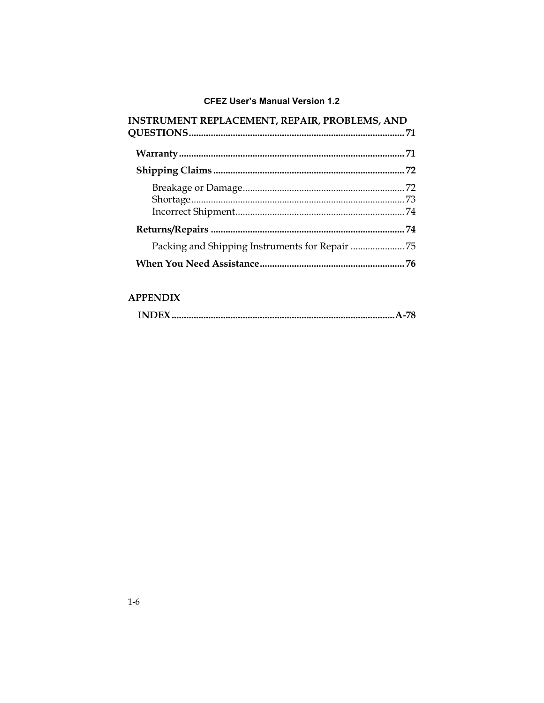| <b>INSTRUMENT REPLACEMENT, REPAIR, PROBLEMS, AND</b> |  |
|------------------------------------------------------|--|
|                                                      |  |
|                                                      |  |
|                                                      |  |
|                                                      |  |
|                                                      |  |
|                                                      |  |
|                                                      |  |
|                                                      |  |

#### **APPENDIX**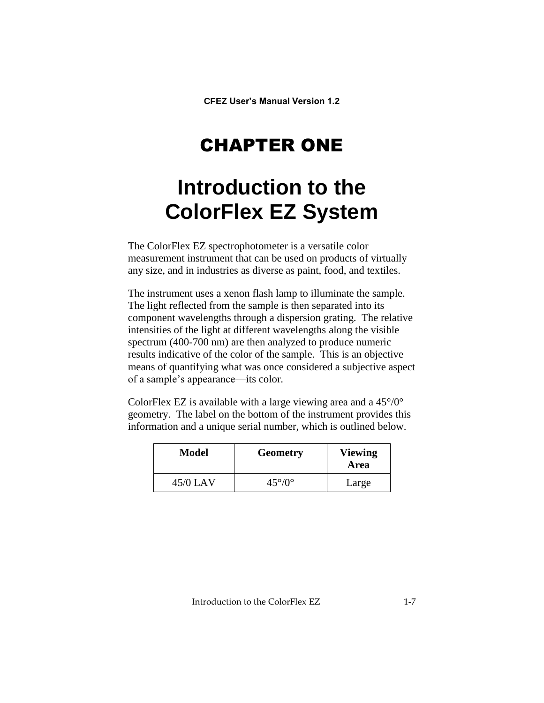## CHAPTER ONE

# **Introduction to the ColorFlex EZ System**

The ColorFlex EZ spectrophotometer is a versatile color measurement instrument that can be used on products of virtually any size, and in industries as diverse as paint, food, and textiles.

The instrument uses a xenon flash lamp to illuminate the sample. The light reflected from the sample is then separated into its component wavelengths through a dispersion grating. The relative intensities of the light at different wavelengths along the visible spectrum (400-700 nm) are then analyzed to produce numeric results indicative of the color of the sample. This is an objective means of quantifying what was once considered a subjective aspect of a sample's appearance—its color.

ColorFlex EZ is available with a large viewing area and a  $45^{\circ}/0^{\circ}$ geometry. The label on the bottom of the instrument provides this information and a unique serial number, which is outlined below.

| Model    | <b>Geometry</b>        | <b>Viewing</b><br><b>Area</b> |
|----------|------------------------|-------------------------------|
| 45/0 LAV | $45^{\circ}/0^{\circ}$ | Large                         |

Introduction to the ColorFlex EZ 1-7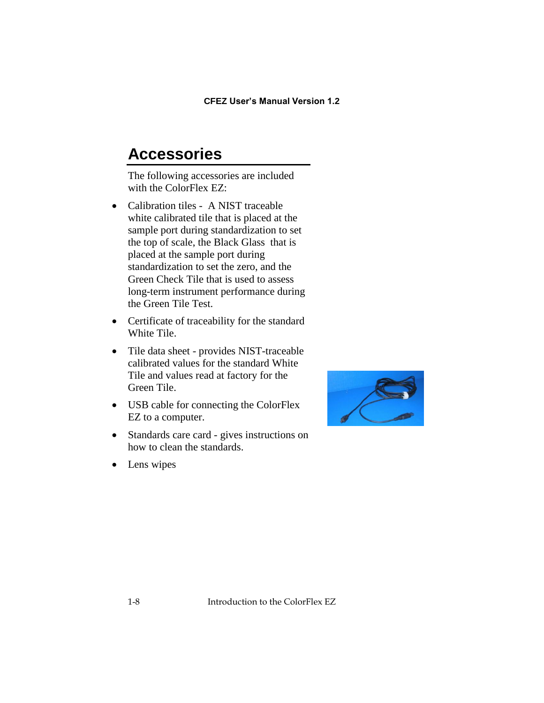## **Accessories**

The following accessories are included with the ColorFlex EZ:

- Calibration tiles A NIST traceable white calibrated tile that is placed at the sample port during standardization to set the top of scale, the Black Glass that is placed at the sample port during standardization to set the zero, and the Green Check Tile that is used to assess long-term instrument performance during the Green Tile Test.
- Certificate of traceability for the standard White Tile.
- Tile data sheet provides NIST-traceable calibrated values for the standard White Tile and values read at factory for the Green Tile.
- USB cable for connecting the ColorFlex EZ to a computer.
- Standards care card gives instructions on how to clean the standards.
- Lens wipes

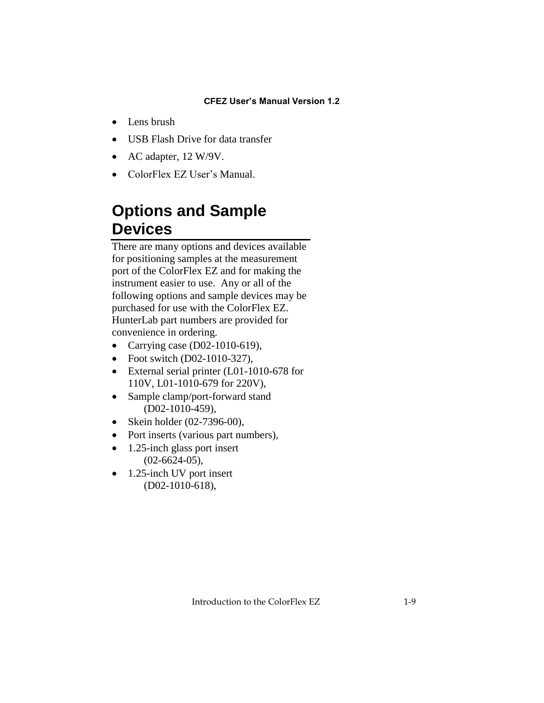- Lens brush
- USB Flash Drive for data transfer
- AC adapter, 12 W/9V.
- ColorFlex EZ User's Manual.

## **Options and Sample Devices**

There are many options and devices available for positioning samples at the measurement port of the ColorFlex EZ and for making the instrument easier to use. Any or all of the following options and sample devices may be purchased for use with the ColorFlex EZ. HunterLab part numbers are provided for convenience in ordering.

- Carrying case (D02-1010-619),
- Foot switch (D02-1010-327),
- External serial printer (L01-1010-678 for 110V, L01-1010-679 for 220V),
- Sample clamp/port-forward stand (D02-1010-459),
- Skein holder (02-7396-00),
- Port inserts (various part numbers),
- 1.25-inch glass port insert (02-6624-05),
- 1.25-inch UV port insert (D02-1010-618),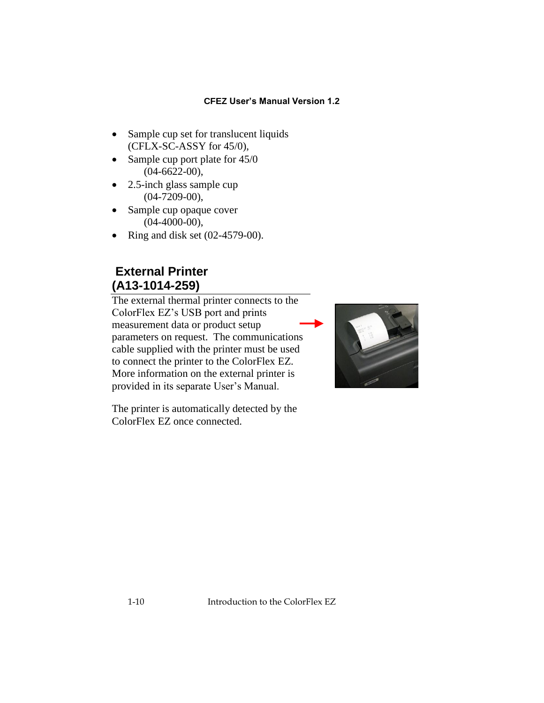- Sample cup set for translucent liquids (CFLX-SC-ASSY for 45/0),
- Sample cup port plate for 45/0 (04-6622-00),
- 2.5-inch glass sample cup (04-7209-00),
- Sample cup opaque cover (04-4000-00),
- Ring and disk set  $(02-4579-00)$ .

## **External Printer (A13-1014-259)**

The external thermal printer connects to the ColorFlex EZ's USB port and prints measurement data or product setup parameters on request. The communications cable supplied with the printer must be used to connect the printer to the ColorFlex EZ. More information on the external printer is provided in its separate User's Manual.



The printer is automatically detected by the ColorFlex EZ once connected.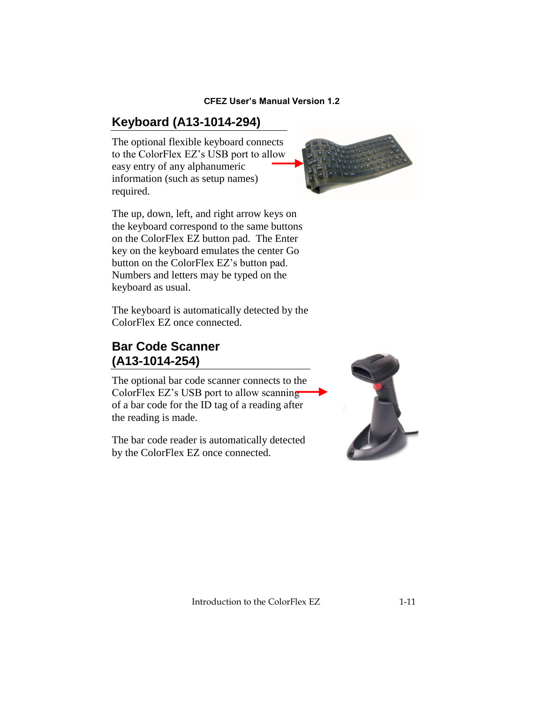## **Keyboard (A13-1014-294)**

The optional flexible keyboard connects to the ColorFlex EZ's USB port to allow easy entry of any alphanumeric information (such as setup names) required.



The up, down, left, and right arrow keys on the keyboard correspond to the same buttons on the ColorFlex EZ button pad. The Enter key on the keyboard emulates the center Go button on the ColorFlex EZ's button pad. Numbers and letters may be typed on the keyboard as usual.

The keyboard is automatically detected by the ColorFlex EZ once connected.

## **Bar Code Scanner (A13-1014-254)**

The optional bar code scanner connects to the ColorFlex EZ's USB port to allow scanning of a bar code for the ID tag of a reading after the reading is made.

The bar code reader is automatically detected by the ColorFlex EZ once connected.



Introduction to the ColorFlex EZ 1-11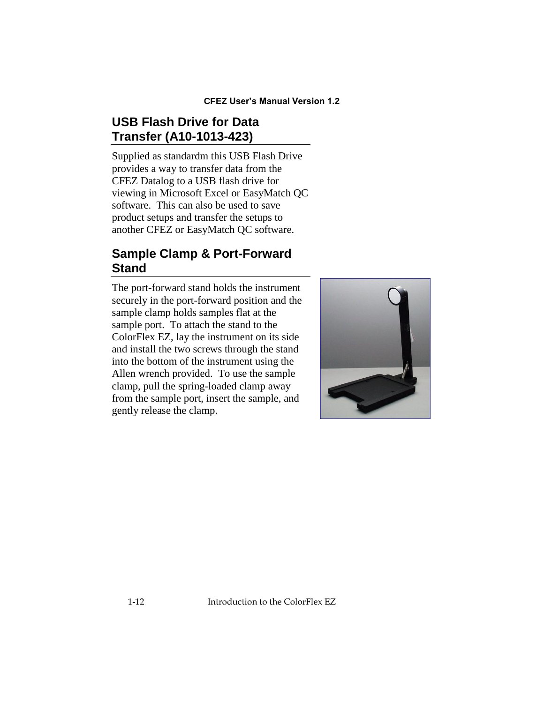### **USB Flash Drive for Data Transfer (A10-1013-423)**

Supplied as standardm this USB Flash Drive provides a way to transfer data from the CFEZ Datalog to a USB flash drive for viewing in Microsoft Excel or EasyMatch QC software. This can also be used to save product setups and transfer the setups to another CFEZ or EasyMatch QC software.

#### **Sample Clamp & Port-Forward Stand**

The port-forward stand holds the instrument securely in the port-forward position and the sample clamp holds samples flat at the sample port. To attach the stand to the ColorFlex EZ, lay the instrument on its side and install the two screws through the stand into the bottom of the instrument using the Allen wrench provided. To use the sample clamp, pull the spring-loaded clamp away from the sample port, insert the sample, and gently release the clamp.



1-12 Introduction to the ColorFlex EZ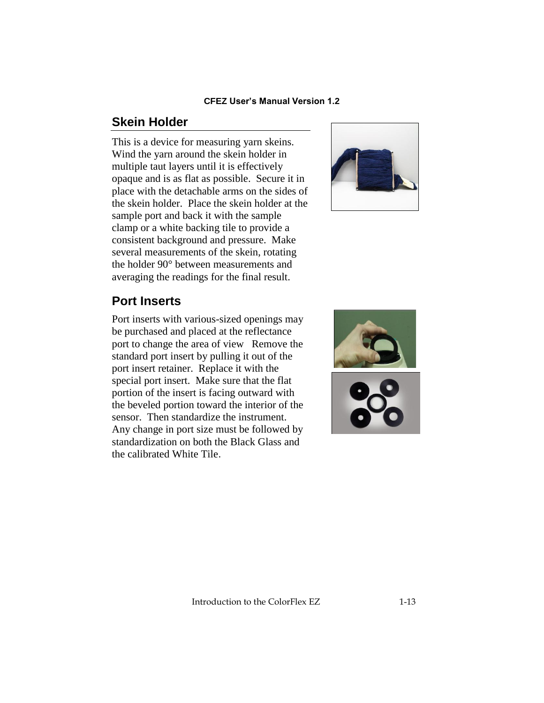#### **Skein Holder**

This is a device for measuring yarn skeins. Wind the yarn around the skein holder in multiple taut layers until it is effectively opaque and is as flat as possible. Secure it in place with the detachable arms on the sides of the skein holder. Place the skein holder at the sample port and back it with the sample clamp or a white backing tile to provide a consistent background and pressure. Make several measurements of the skein, rotating the holder 90° between measurements and averaging the readings for the final result.



#### **Port Inserts**

Port inserts with various-sized openings may be purchased and placed at the reflectance port to change the area of view Remove the standard port insert by pulling it out of the port insert retainer. Replace it with the special port insert. Make sure that the flat portion of the insert is facing outward with the beveled portion toward the interior of the sensor. Then standardize the instrument. Any change in port size must be followed by standardization on both the Black Glass and the calibrated White Tile.

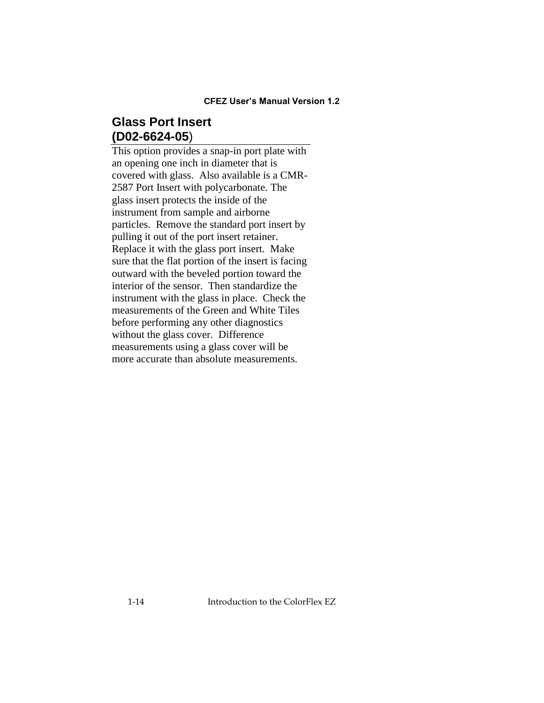### **Glass Port Insert (D02-6624-05**)

This option provides a snap-in port plate with an opening one inch in diameter that is covered with glass. Also available is a CMR-2587 Port Insert with polycarbonate. The glass insert protects the inside of the instrument from sample and airborne particles. Remove the standard port insert by pulling it out of the port insert retainer. Replace it with the glass port insert. Make sure that the flat portion of the insert is facing outward with the beveled portion toward the interior of the sensor. Then standardize the instrument with the glass in place. Check the measurements of the Green and White Tiles before performing any other diagnostics without the glass cover. Difference measurements using a glass cover will be more accurate than absolute measurements.

1-14 Introduction to the ColorFlex EZ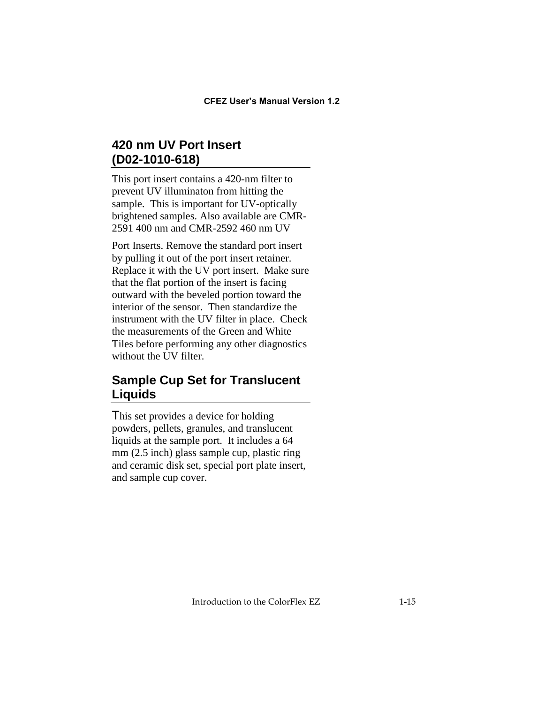### **420 nm UV Port Insert (D02-1010-618)**

This port insert contains a 420-nm filter to prevent UV illuminaton from hitting the sample. This is important for UV-optically brightened samples. Also available are CMR-2591 400 nm and CMR-2592 460 nm UV

Port Inserts. Remove the standard port insert by pulling it out of the port insert retainer. Replace it with the UV port insert. Make sure that the flat portion of the insert is facing outward with the beveled portion toward the interior of the sensor. Then standardize the instrument with the UV filter in place. Check the measurements of the Green and White Tiles before performing any other diagnostics without the UV filter.

### **Sample Cup Set for Translucent Liquids**

This set provides a device for holding powders, pellets, granules, and translucent liquids at the sample port. It includes a 64 mm (2.5 inch) glass sample cup, plastic ring and ceramic disk set, special port plate insert, and sample cup cover.

Introduction to the ColorFlex EZ 1-15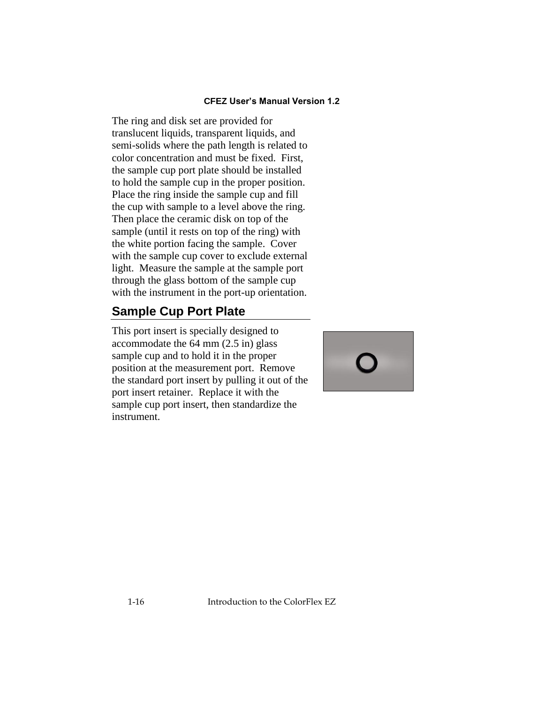The ring and disk set are provided for translucent liquids, transparent liquids, and semi-solids where the path length is related to color concentration and must be fixed. First, the sample cup port plate should be installed to hold the sample cup in the proper position. Place the ring inside the sample cup and fill the cup with sample to a level above the ring. Then place the ceramic disk on top of the sample (until it rests on top of the ring) with the white portion facing the sample. Cover with the sample cup cover to exclude external light. Measure the sample at the sample port through the glass bottom of the sample cup with the instrument in the port-up orientation.

### **Sample Cup Port Plate**

This port insert is specially designed to accommodate the 64 mm (2.5 in) glass sample cup and to hold it in the proper position at the measurement port. Remove the standard port insert by pulling it out of the port insert retainer. Replace it with the sample cup port insert, then standardize the instrument.

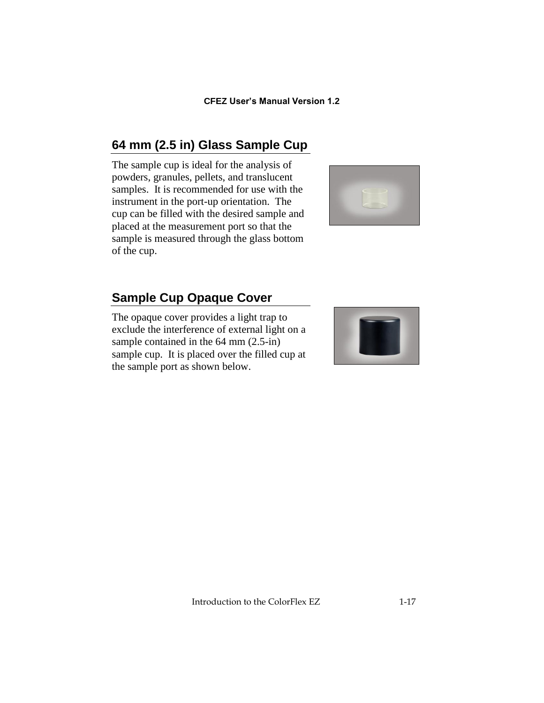## **64 mm (2.5 in) Glass Sample Cup**

The sample cup is ideal for the analysis of powders, granules, pellets, and translucent samples. It is recommended for use with the instrument in the port-up orientation. The cup can be filled with the desired sample and placed at the measurement port so that the sample is measured through the glass bottom of the cup.



## **Sample Cup Opaque Cover**

The opaque cover provides a light trap to exclude the interference of external light on a sample contained in the 64 mm  $(2.5\text{-}in)$ sample cup. It is placed over the filled cup at the sample port as shown below.

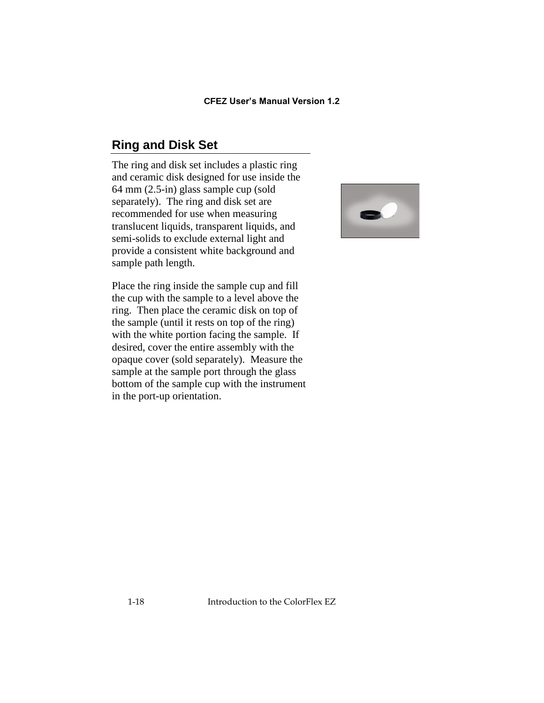#### **Ring and Disk Set**

The ring and disk set includes a plastic ring and ceramic disk designed for use inside the 64 mm (2.5-in) glass sample cup (sold separately). The ring and disk set are recommended for use when measuring translucent liquids, transparent liquids, and semi-solids to exclude external light and provide a consistent white background and sample path length.

Place the ring inside the sample cup and fill the cup with the sample to a level above the ring. Then place the ceramic disk on top of the sample (until it rests on top of the ring) with the white portion facing the sample. If desired, cover the entire assembly with the opaque cover (sold separately). Measure the sample at the sample port through the glass bottom of the sample cup with the instrument in the port-up orientation.



1-18 Introduction to the ColorFlex EZ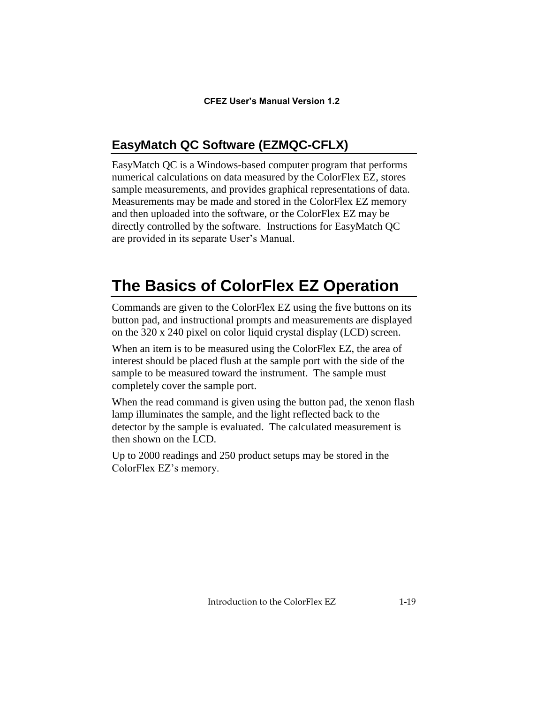## **EasyMatch QC Software (EZMQC-CFLX)**

EasyMatch QC is a Windows-based computer program that performs numerical calculations on data measured by the ColorFlex EZ, stores sample measurements, and provides graphical representations of data. Measurements may be made and stored in the ColorFlex EZ memory and then uploaded into the software, or the ColorFlex EZ may be directly controlled by the software. Instructions for EasyMatch QC are provided in its separate User's Manual.

## **The Basics of ColorFlex EZ Operation**

Commands are given to the ColorFlex EZ using the five buttons on its button pad, and instructional prompts and measurements are displayed on the 320 x 240 pixel on color liquid crystal display (LCD) screen.

When an item is to be measured using the ColorFlex EZ, the area of interest should be placed flush at the sample port with the side of the sample to be measured toward the instrument. The sample must completely cover the sample port.

When the read command is given using the button pad, the xenon flash lamp illuminates the sample, and the light reflected back to the detector by the sample is evaluated. The calculated measurement is then shown on the LCD.

Up to 2000 readings and 250 product setups may be stored in the ColorFlex EZ's memory.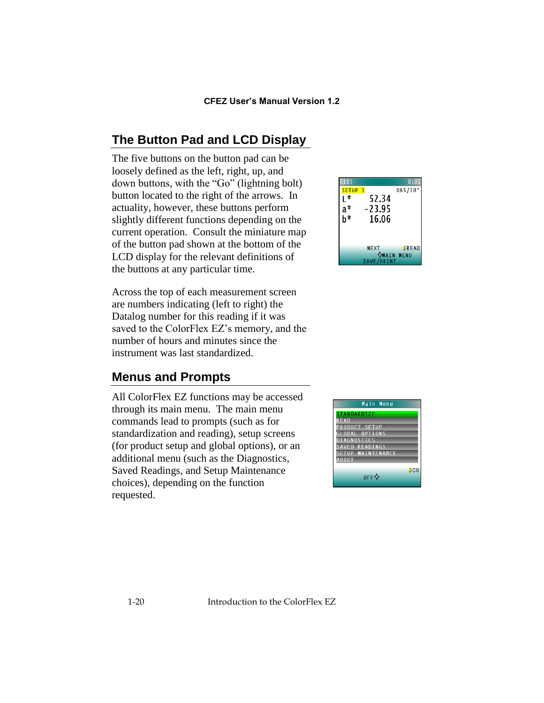## **The Button Pad and LCD Display**

The five buttons on the button pad can be loosely defined as the left, right, up, and down buttons, with the "Go" (lightning bolt) button located to the right of the arrows. In actuality, however, these buttons perform slightly different functions depending on the current operation. Consult the miniature map of the button pad shown at the bottom of the LCD display for the relevant definitions of the buttons at any particular time.

Across the top of each measurement screen are numbers indicating (left to right) the Datalog number for this reading if it was saved to the ColorFlex EZ's memory, and the number of hours and minutes since the instrument was last standardized.

### **Menus and Prompts**

All ColorFlex EZ functions may be accessed through its main menu. The main menu commands lead to prompts (such as for standardization and reading), setup screens (for product setup and global options), or an additional menu (such as the Diagnostics, Saved Readings, and Setup Maintenance choices), depending on the function requested.

| 0105         |              | 0:01         |
|--------------|--------------|--------------|
| <b>SETUP</b> | $\mathbf{1}$ | D65/10°      |
| $L^*$        | 52.34        |              |
|              | -23.95       |              |
| a*<br>b*     | 16.06        |              |
|              |              |              |
|              |              |              |
|              |              |              |
|              | <b>NEXT</b>  | <b>SREAD</b> |
|              |              | ⊋MAIN MENU   |
|              | SAVE/PRINT   |              |

| <b>Main Menu</b>  |     |
|-------------------|-----|
| STANDARDIZE       |     |
| READ              |     |
| RODUCT SETUP      |     |
| LOBAL OPTIONS     |     |
| DIAGNOSTICS       |     |
| SAVED READINGS    |     |
| SETUP MAINTENANCE |     |
| <b>ABOUT</b>      |     |
|                   |     |
| 0FF               | -SO |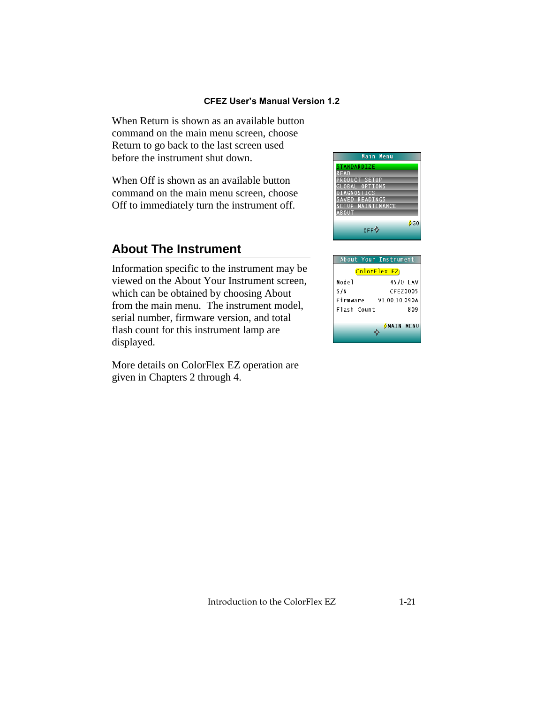When Return is shown as an available button command on the main menu screen, choose Return to go back to the last screen used before the instrument shut down.

When Off is shown as an available button command on the main menu screen, choose Off to immediately turn the instrument off.

### **About The Instrument**

Information specific to the instrument may be viewed on the About Your Instrument screen, which can be obtained by choosing About from the main menu. The instrument model, serial number, firmware version, and total flash count for this instrument lamp are displayed.

More details on ColorFlex EZ operation are given in Chapters 2 through 4.

| <b>Main Menu</b>   |     |
|--------------------|-----|
|                    |     |
| <b>STANDARDIZE</b> |     |
| READ               |     |
| PRODUCT SFTUP      |     |
| GLOBAL OPTIONS     |     |
| DIAGNOSTICS        |     |
| SAVED READINGS     |     |
| ETUP MAINTENANCE   |     |
| <b>ABOUT</b>       |     |
|                    |     |
|                    | -SO |
| 0FF <sub>2</sub>   |     |
|                    |     |

|             | About Your Instrument |
|-------------|-----------------------|
|             | ColorFlex EZ)         |
| Model       | 45/0 LAV              |
| S/N         | CFEZ0005              |
| Firmware    | V1.00.10.090A         |
| Flash Count | 809                   |
|             |                       |
|             | <b>⁄MAIN MENU</b>     |
|             |                       |

Introduction to the ColorFlex EZ 1-21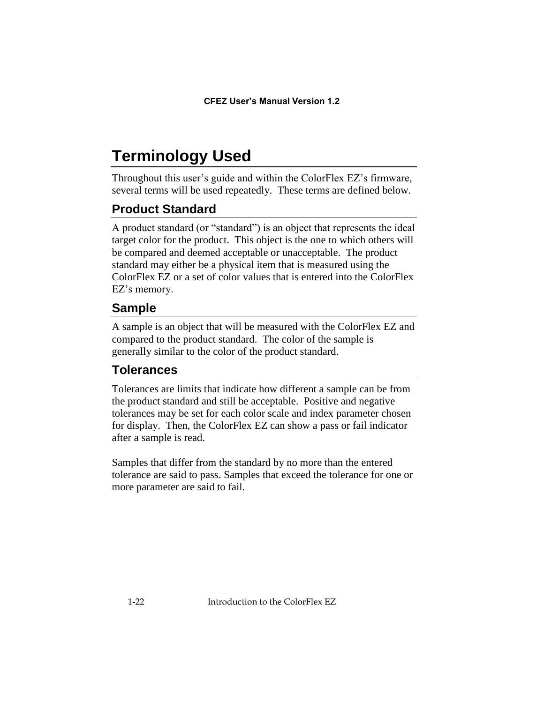## **Terminology Used**

Throughout this user's guide and within the ColorFlex EZ's firmware, several terms will be used repeatedly. These terms are defined below.

## **Product Standard**

A product standard (or "standard") is an object that represents the ideal target color for the product. This object is the one to which others will be compared and deemed acceptable or unacceptable. The product standard may either be a physical item that is measured using the ColorFlex EZ or a set of color values that is entered into the ColorFlex EZ's memory.

### **Sample**

A sample is an object that will be measured with the ColorFlex EZ and compared to the product standard. The color of the sample is generally similar to the color of the product standard.

## **Tolerances**

Tolerances are limits that indicate how different a sample can be from the product standard and still be acceptable. Positive and negative tolerances may be set for each color scale and index parameter chosen for display. Then, the ColorFlex EZ can show a pass or fail indicator after a sample is read.

Samples that differ from the standard by no more than the entered tolerance are said to pass. Samples that exceed the tolerance for one or more parameter are said to fail.

1-22 Introduction to the ColorFlex EZ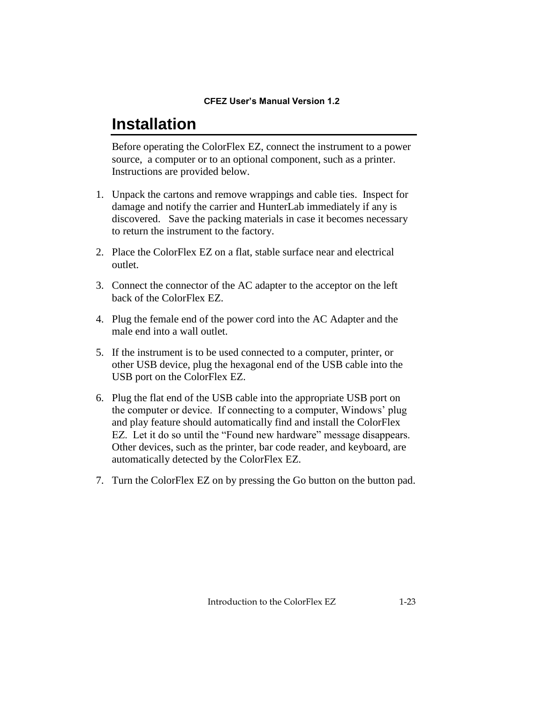## **Installation**

Before operating the ColorFlex EZ, connect the instrument to a power source, a computer or to an optional component, such as a printer. Instructions are provided below.

- 1. Unpack the cartons and remove wrappings and cable ties. Inspect for damage and notify the carrier and HunterLab immediately if any is discovered. Save the packing materials in case it becomes necessary to return the instrument to the factory.
- 2. Place the ColorFlex EZ on a flat, stable surface near and electrical outlet.
- 3. Connect the connector of the AC adapter to the acceptor on the left back of the ColorFlex EZ.
- 4. Plug the female end of the power cord into the AC Adapter and the male end into a wall outlet.
- 5. If the instrument is to be used connected to a computer, printer, or other USB device, plug the hexagonal end of the USB cable into the USB port on the ColorFlex EZ.
- 6. Plug the flat end of the USB cable into the appropriate USB port on the computer or device. If connecting to a computer, Windows' plug and play feature should automatically find and install the ColorFlex EZ. Let it do so until the "Found new hardware" message disappears. Other devices, such as the printer, bar code reader, and keyboard, are automatically detected by the ColorFlex EZ.
- 7. Turn the ColorFlex EZ on by pressing the Go button on the button pad.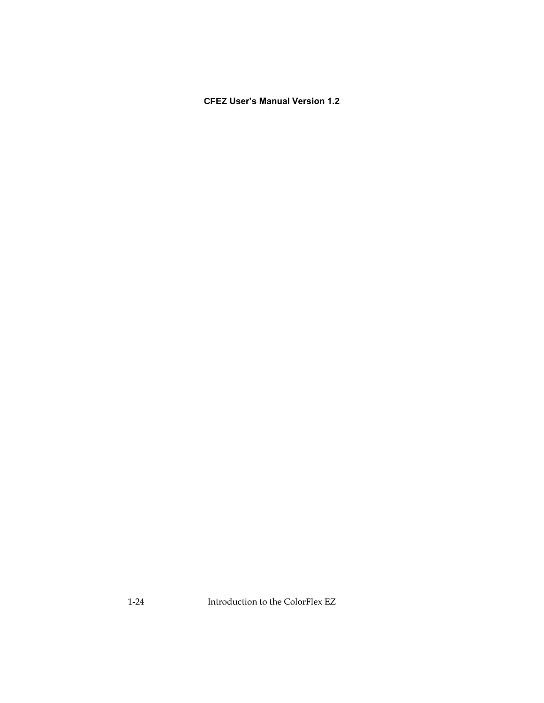1-24 Introduction to the ColorFlex EZ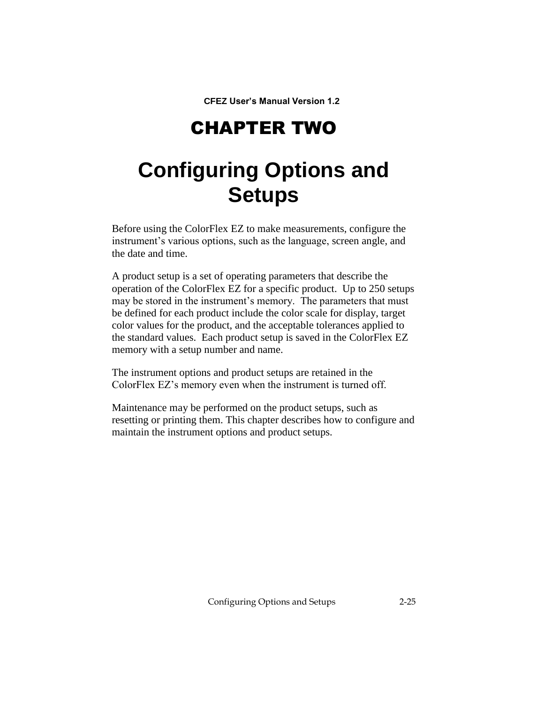## CHAPTER TWO

# **Configuring Options and Setups**

Before using the ColorFlex EZ to make measurements, configure the instrument's various options, such as the language, screen angle, and the date and time.

A product setup is a set of operating parameters that describe the operation of the ColorFlex EZ for a specific product. Up to 250 setups may be stored in the instrument's memory. The parameters that must be defined for each product include the color scale for display, target color values for the product, and the acceptable tolerances applied to the standard values. Each product setup is saved in the ColorFlex EZ memory with a setup number and name.

The instrument options and product setups are retained in the ColorFlex EZ's memory even when the instrument is turned off.

Maintenance may be performed on the product setups, such as resetting or printing them. This chapter describes how to configure and maintain the instrument options and product setups.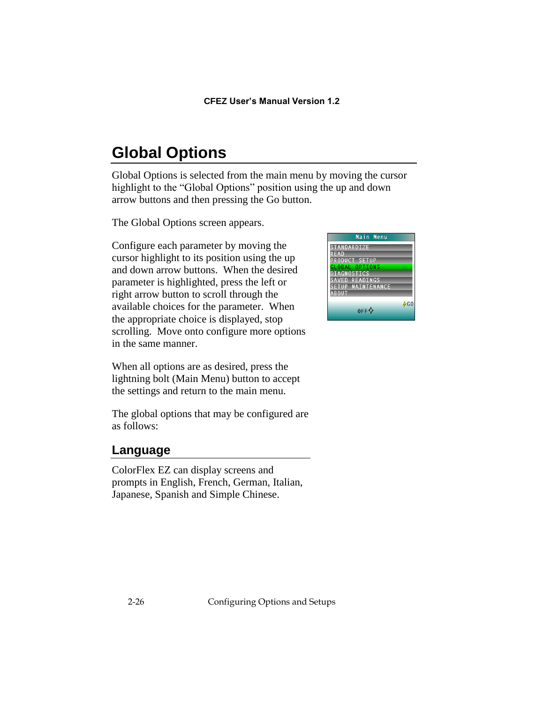## **Global Options**

Global Options is selected from the main menu by moving the cursor highlight to the "Global Options" position using the up and down arrow buttons and then pressing the Go button.

The Global Options screen appears.

Configure each parameter by moving the cursor highlight to its position using the up and down arrow buttons. When the desired parameter is highlighted, press the left or right arrow button to scroll through the available choices for the parameter. When the appropriate choice is displayed, stop scrolling. Move onto configure more options in the same manner.

When all options are as desired, press the lightning bolt (Main Menu) button to accept the settings and return to the main menu.

The global options that may be configured are as follows:

#### **Language**

ColorFlex EZ can display screens and prompts in English, French, German, Italian, Japanese, Spanish and Simple Chinese.

| Main Menu          |     |
|--------------------|-----|
| STANDARDIZE        |     |
| RFAD               |     |
| PRODUCT SETUP      |     |
| GLOBAL OPTIONS     |     |
| <b>DIAGNOSTICS</b> |     |
| SAVED READINGS     |     |
| ETUP MAINTENANCE   |     |
| <b>ABOUT</b>       |     |
|                    | -SO |
| 0FF                |     |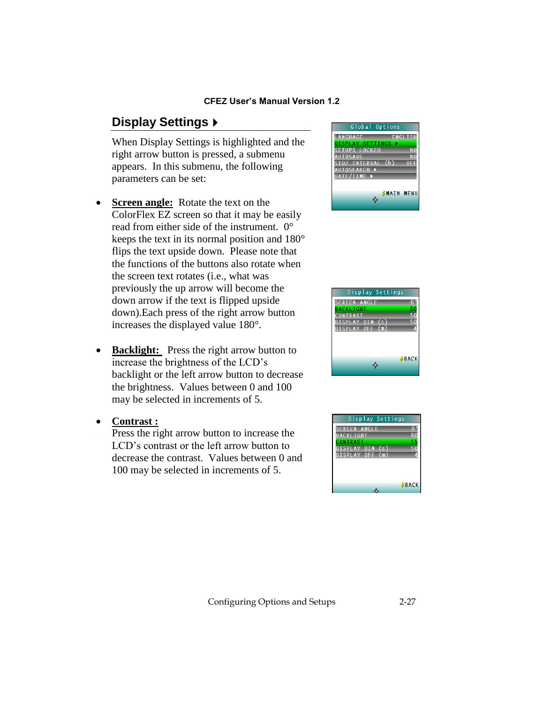### **Display Settings**

When Display Settings is highlighted and the right arrow button is pressed, a submenu appears. In this submenu, the following parameters can be set:

- **Screen angle:** Rotate the text on the ColorFlex EZ screen so that it may be easily read from either side of the instrument. 0° keeps the text in its normal position and 180° flips the text upside down. Please note that the functions of the buttons also rotate when the screen text rotates (i.e., what was previously the up arrow will become the down arrow if the text is flipped upside down).Each press of the right arrow button increases the displayed value 180°.
- **Backlight:** Press the right arrow button to increase the brightness of the LCD's backlight or the left arrow button to decrease the brightness. Values between 0 and 100 may be selected in increments of 5.
- **Contrast :**

 Press the right arrow button to increase the LCD's contrast or the left arrow button to decrease the contrast. Values between 0 and 100 may be selected in increments of 5.



| Display Settings   |       |
|--------------------|-------|
| SCREEN ANGLE       |       |
| BACKLIGHT          | 80    |
| CONTRAST           |       |
| ISPLAY DIM<br>Cς   |       |
| DISPLAY OFF<br>(m) |       |
|                    |       |
|                    | 5BACK |
|                    |       |



Configuring Options and Setups 2-27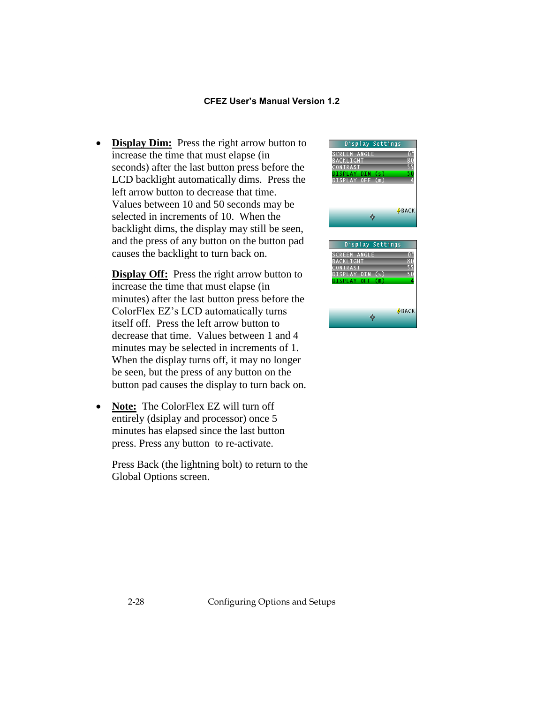- **Display Dim:** Press the right arrow button to increase the time that must elapse (in seconds) after the last button press before the LCD backlight automatically dims. Press the left arrow button to decrease that time. Values between 10 and 50 seconds may be selected in increments of 10. When the backlight dims, the display may still be seen, and the press of any button on the button pad causes the backlight to turn back on.
	- **Display Off:** Press the right arrow button to increase the time that must elapse (in minutes) after the last button press before the ColorFlex EZ's LCD automatically turns itself off. Press the left arrow button to decrease that time. Values between 1 and 4 minutes may be selected in increments of 1. When the display turns off, it may no longer be seen, but the press of any button on the button pad causes the display to turn back on.
- Note: The ColorFlex EZ will turn off entirely (dsiplay and processor) once 5 minutes has elapsed since the last button press. Press any button to re-activate.

Press Back (the lightning bolt) to return to the Global Options screen.



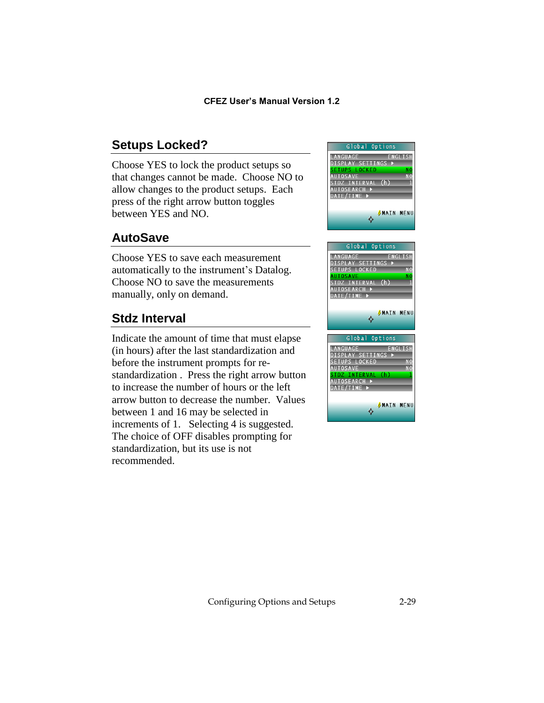## **Setups Locked?**

Choose YES to lock the product setups so that changes cannot be made. Choose NO to allow changes to the product setups. Each press of the right arrow button toggles between YES and NO.



### **AutoSave**

Choose YES to save each measurement automatically to the instrument's Datalog. Choose NO to save the measurements manually, only on demand.

## **Stdz Interval**

Indicate the amount of time that must elapse (in hours) after the last standardization and before the instrument prompts for restandardization . Press the right arrow button to increase the number of hours or the left arrow button to decrease the number. Values between 1 and 16 may be selected in increments of 1. Selecting 4 is suggested. The choice of OFF disables prompting for standardization, but its use is not recommended.

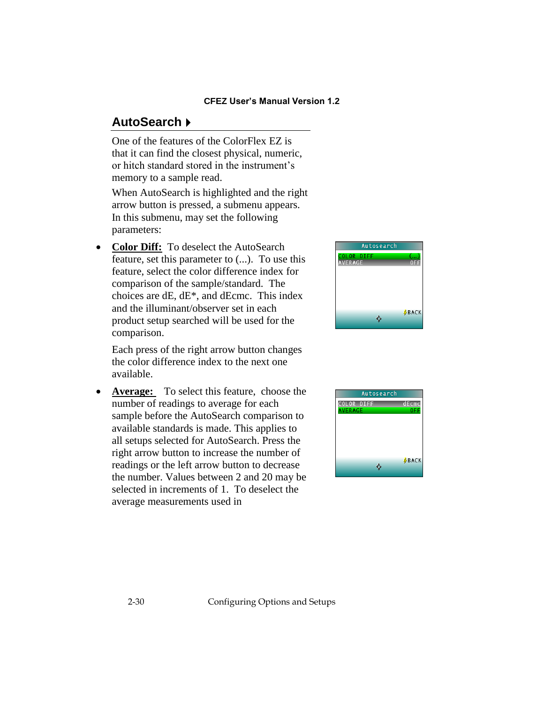#### **AutoSearch**

One of the features of the ColorFlex EZ is that it can find the closest physical, numeric, or hitch standard stored in the instrument's memory to a sample read.

When AutoSearch is highlighted and the right arrow button is pressed, a submenu appears. In this submenu, may set the following parameters:

 **Color Diff:** To deselect the AutoSearch feature, set this parameter to (...). To use this feature, select the color difference index for comparison of the sample/standard. The choices are dE, dE\*, and dEcmc. This index and the illuminant/observer set in each product setup searched will be used for the comparison.

Each press of the right arrow button changes the color difference index to the next one available.

 **Average:** To select this feature, choose the number of readings to average for each sample before the AutoSearch comparison to available standards is made. This applies to all setups selected for AutoSearch. Press the right arrow button to increase the number of readings or the left arrow button to decrease the number. Values between 2 and 20 may be selected in increments of 1. To deselect the average measurements used in





2-30 Configuring Options and Setups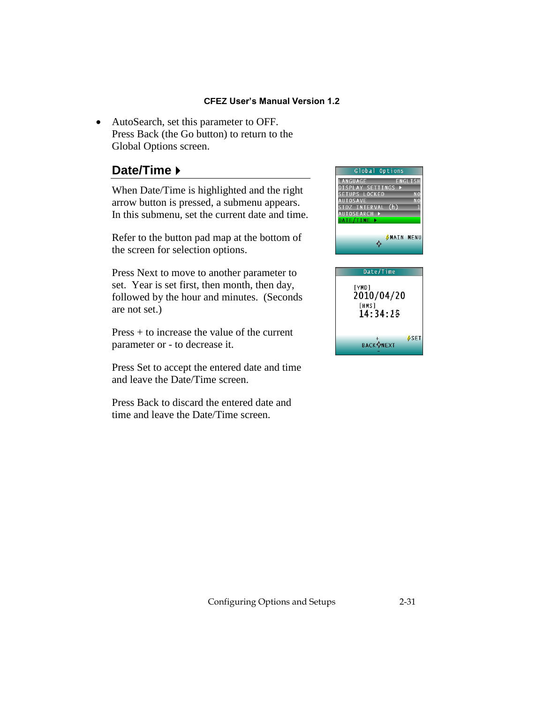AutoSearch, set this parameter to OFF. Press Back (the Go button) to return to the Global Options screen.

#### **Date/Time**

When Date/Time is highlighted and the right arrow button is pressed, a submenu appears. In this submenu, set the current date and time.

Refer to the button pad map at the bottom of the screen for selection options.

Press Next to move to another parameter to set. Year is set first, then month, then day, followed by the hour and minutes. (Seconds are not set.)

Press + to increase the value of the current parameter or - to decrease it.

Press Set to accept the entered date and time and leave the Date/Time screen.

Press Back to discard the entered date and time and leave the Date/Time screen.

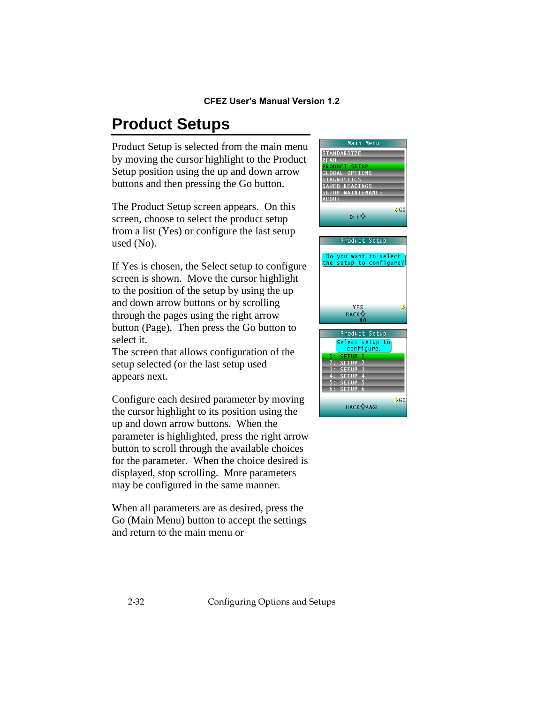## **Product Setups**

Product Setup is selected from the main menu by moving the cursor highlight to the Product Setup position using the up and down arrow buttons and then pressing the Go button.

The Product Setup screen appears. On this screen, choose to select the product setup from a list (Yes) or configure the last setup used (No).

If Yes is chosen, the Select setup to configure screen is shown. Move the cursor highlight to the position of the setup by using the up and down arrow buttons or by scrolling through the pages using the right arrow button (Page). Then press the Go button to select it.

The screen that allows configuration of the setup selected (or the last setup used appears next.

Configure each desired parameter by moving the cursor highlight to its position using the up and down arrow buttons. When the parameter is highlighted, press the right arrow button to scroll through the available choices for the parameter. When the choice desired is displayed, stop scrolling. More parameters may be configured in the same manner.

When all parameters are as desired, press the Go (Main Menu) button to accept the settings and return to the main menu or

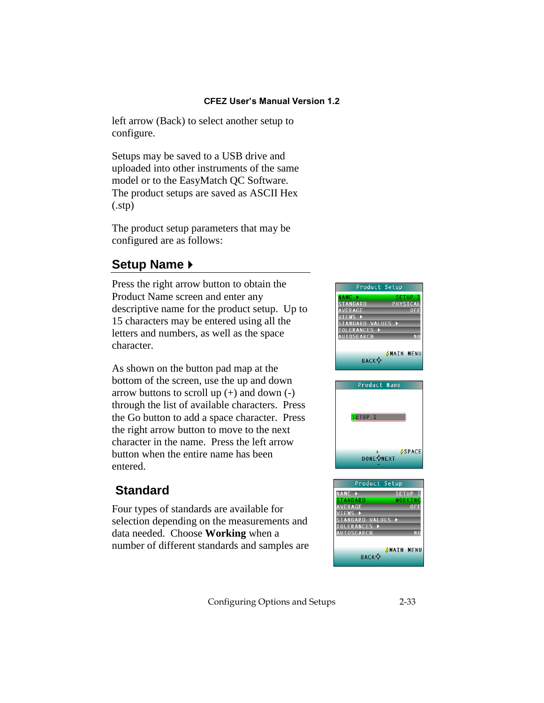left arrow (Back) to select another setup to configure.

Setups may be saved to a USB drive and uploaded into other instruments of the same model or to the EasyMatch QC Software. The product setups are saved as ASCII Hex (.stp)

The product setup parameters that may be configured are as follows:

## **Setup Name**

Press the right arrow button to obtain the Product Name screen and enter any descriptive name for the product setup. Up to 15 characters may be entered using all the letters and numbers, as well as the space character.

As shown on the button pad map at the bottom of the screen, use the up and down arrow buttons to scroll up  $(+)$  and down  $(-)$ through the list of available characters. Press the Go button to add a space character. Press the right arrow button to move to the next character in the name. Press the left arrow button when the entire name has been entered.

## **Standard**

Four types of standards are available for selection depending on the measurements and data needed. Choose **Working** when a number of different standards and samples are



Configuring Options and Setups 2-33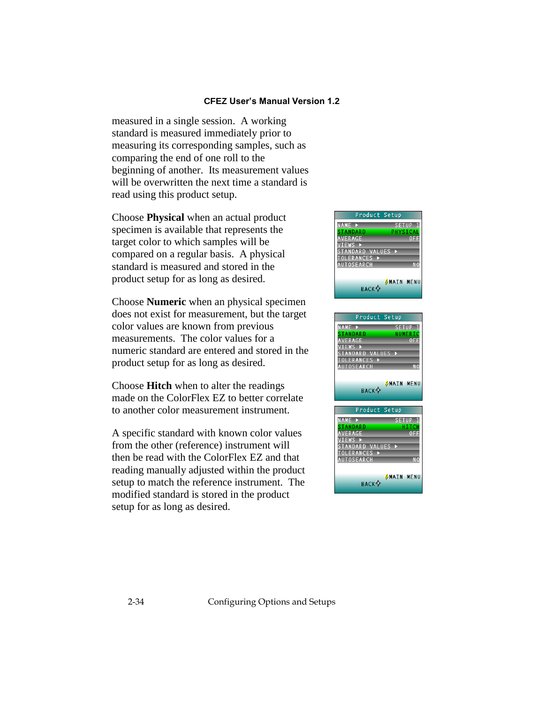measured in a single session. A working standard is measured immediately prior to measuring its corresponding samples, such as comparing the end of one roll to the beginning of another. Its measurement values will be overwritten the next time a standard is read using this product setup.

Choose **Physical** when an actual product specimen is available that represents the target color to which samples will be compared on a regular basis. A physical standard is measured and stored in the product setup for as long as desired.

Choose **Numeric** when an physical specimen does not exist for measurement, but the target color values are known from previous measurements. The color values for a numeric standard are entered and stored in the product setup for as long as desired.

Choose **Hitch** when to alter the readings made on the ColorFlex EZ to better correlate to another color measurement instrument.

A specific standard with known color values from the other (reference) instrument will then be read with the ColorFlex EZ and that reading manually adjusted within the product setup to match the reference instrument. The modified standard is stored in the product setup for as long as desired.





2-34 Configuring Options and Setups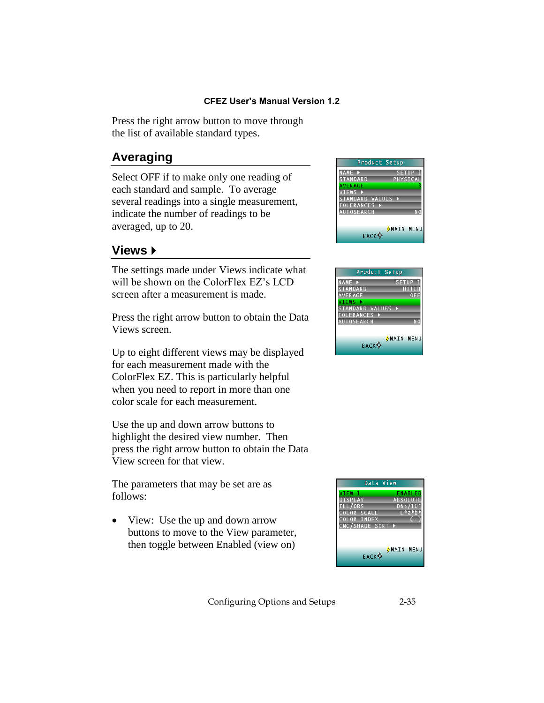Press the right arrow button to move through the list of available standard types.

## **Averaging**

Select OFF if to make only one reading of each standard and sample. To average several readings into a single measurement, indicate the number of readings to be averaged, up to 20.



### **Views**

The settings made under Views indicate what will be shown on the ColorFlex EZ's LCD screen after a measurement is made.

Press the right arrow button to obtain the Data Views screen.

Up to eight different views may be displayed for each measurement made with the ColorFlex EZ. This is particularly helpful when you need to report in more than one color scale for each measurement.

Use the up and down arrow buttons to highlight the desired view number. Then press the right arrow button to obtain the Data View screen for that view.

The parameters that may be set are as follows:

• View: Use the up and down arrow buttons to move to the View parameter, then toggle between Enabled (view on)





Configuring Options and Setups 2-35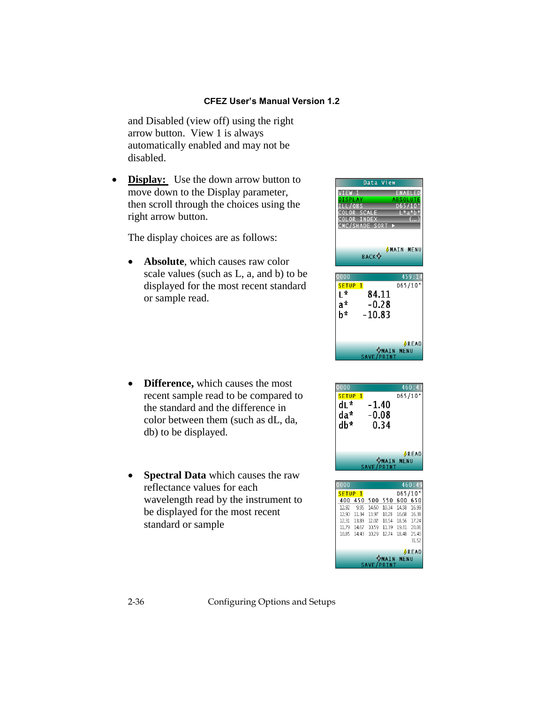and Disabled (view off) using the right arrow button. View 1 is always automatically enabled and may not be disabled.

• **Display:** Use the down arrow button to move down to the Display parameter, then scroll through the choices using the right arrow button.

The display choices are as follows:

 **Absolute**, which causes raw color scale values (such as L, a, and b) to be displayed for the most recent standard or sample read.

- **Difference**, which causes the most recent sample read to be compared to the standard and the difference in color between them (such as dL, da, db) to be displayed.
- **Spectral Data** which causes the raw reflectance values for each wavelength read by the instrument to be displayed for the most recent standard or sample



| 0000                         |                   | 460:43   |
|------------------------------|-------------------|----------|
| $\mathbf{1}$<br><b>SETUP</b> |                   | D65/10°  |
| dL *                         | $-1.40$           |          |
|                              |                   |          |
| da*                          | -0.08             |          |
|                              |                   |          |
| db*                          | 0.34              |          |
|                              |                   |          |
|                              |                   |          |
|                              |                   |          |
|                              |                   |          |
|                              |                   | $2$ READ |
|                              | <b>OMAIN MENU</b> |          |
|                              | SAVE/PRINT        |          |
|                              |                   |          |
|                              |                   |          |

| 0000                           |       |       |       |         | 460:49 |  |
|--------------------------------|-------|-------|-------|---------|--------|--|
| $\blacksquare$<br><b>SETUP</b> |       |       |       | D65/10° |        |  |
| 400                            | 450   | 500   | 550   | 600     | 650    |  |
| 12.92                          | 9.95  | 14.60 | 10.34 | 14.58   | 16.99  |  |
| 12.90                          | 11.34 | 13.97 | 10.28 | 16.68   | 16.38  |  |
| 12.31                          | 13.89 | 12.02 | 10.54 | 18.56   | 17.24  |  |
| 11.79                          | 14.67 | 10.59 | 11.39 | 19.31   | 20.06  |  |
| 10.85                          | 14.43 | 10.29 | 12.74 | 18.48   | 25.40  |  |
|                                |       |       |       |         | 31.52  |  |
|                                |       |       |       |         |        |  |
| /kEAD                          |       |       |       |         |        |  |
| MAIN<br>MENU                   |       |       |       |         |        |  |
| SAVE/PRINT                     |       |       |       |         |        |  |

2-36 Configuring Options and Setups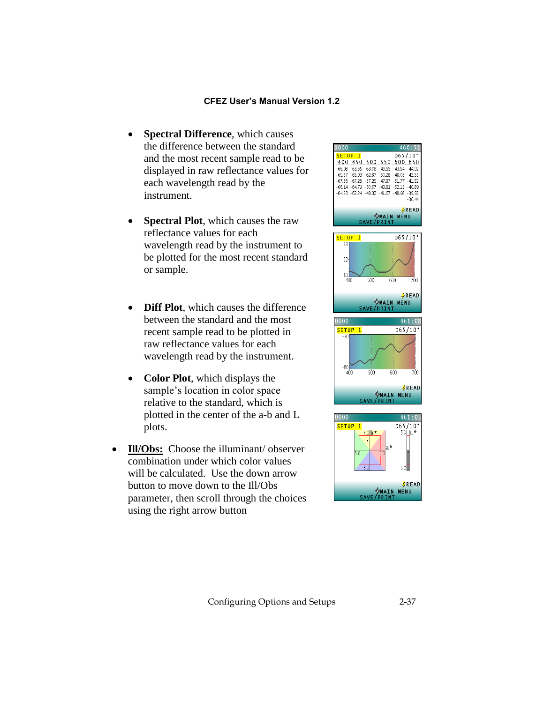- **Spectral Difference**, which causes the difference between the standard and the most recent sample read to be displayed in raw reflectance values for each wavelength read by the instrument.
- **Spectral Plot**, which causes the raw reflectance values for each wavelength read by the instrument to be plotted for the most recent standard or sample.
- **Diff Plot**, which causes the difference between the standard and the most recent sample read to be plotted in raw reflectance values for each wavelength read by the instrument.
- **Color Plot**, which displays the sample's location in color space relative to the standard, which is plotted in the center of the a-b and L plots.
- Ill/Obs: Choose the illuminant/ observer combination under which color values will be calculated. Use the down arrow button to move down to the Ill/Obs parameter, then scroll through the choices using the right arrow button



Configuring Options and Setups 2-37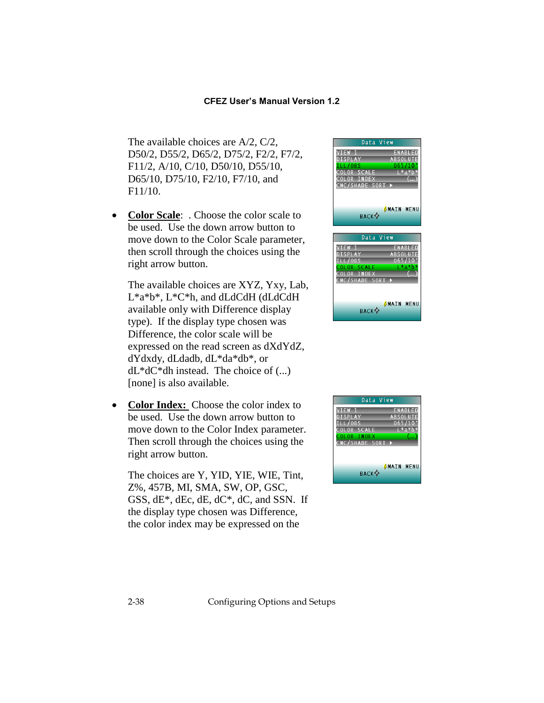The available choices are A/2, C/2, D50/2, D55/2, D65/2, D75/2, F2/2, F7/2, F11/2, A/10, C/10, D50/10, D55/10, D65/10, D75/10, F2/10, F7/10, and F11/10.

• **Color Scale**: Choose the color scale to be used. Use the down arrow button to move down to the Color Scale parameter, then scroll through the choices using the right arrow button.

The available choices are XYZ, Yxy, Lab, L\*a\*b\*, L\*C\*h, and dLdCdH (dLdCdH available only with Difference display type). If the display type chosen was Difference, the color scale will be expressed on the read screen as dXdYdZ, dYdxdy, dLdadb, dL\*da\*db\*, or  $dL * dC * dh$  instead. The choice of  $(...)$ [none] is also available.

• **Color Index:** Choose the color index to be used. Use the down arrow button to move down to the Color Index parameter. Then scroll through the choices using the right arrow button.

The choices are Y, YID, YIE, WIE, Tint, Z%, 457B, MI, SMA, SW, OP, GSC, GSS,  $dE^*$ ,  $dEc$ ,  $dE$ ,  $dC^*$ ,  $dC$ , and SSN. If the display type chosen was Difference, the color index may be expressed on the





2-38 Configuring Options and Setups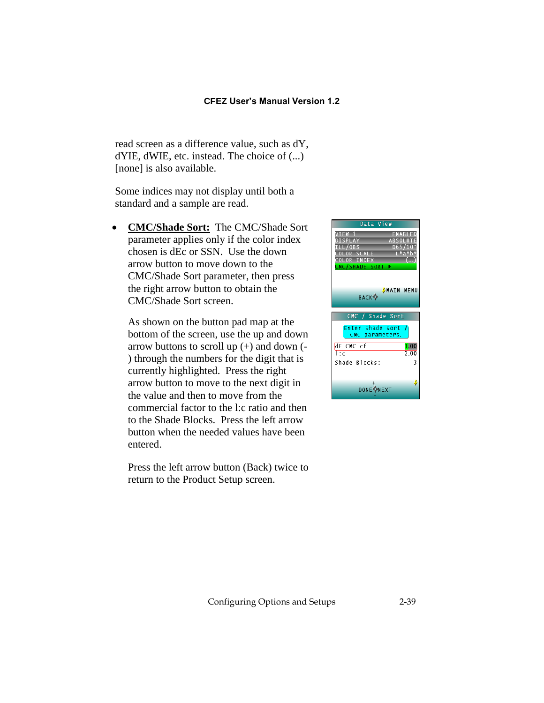read screen as a difference value, such as dY, dYIE, dWIE, etc. instead. The choice of (...) [none] is also available.

Some indices may not display until both a standard and a sample are read.

 **CMC/Shade Sort:** The CMC/Shade Sort parameter applies only if the color index chosen is dEc or SSN. Use the down arrow button to move down to the CMC/Shade Sort parameter, then press the right arrow button to obtain the CMC/Shade Sort screen.

As shown on the button pad map at the bottom of the screen, use the up and down arrow buttons to scroll up (+) and down (- ) through the numbers for the digit that is currently highlighted. Press the right arrow button to move to the next digit in the value and then to move from the commercial factor to the l:c ratio and then to the Shade Blocks. Press the left arrow button when the needed values have been entered.

Press the left arrow button (Back) twice to return to the Product Setup screen.

| Data View                        |      |
|----------------------------------|------|
| N A                              | RT   |
| B<br>R                           |      |
| D6<br>R                          |      |
| SC A                             | k,   |
|                                  |      |
| CMC/SHADE SORT ▶                 |      |
|                                  |      |
|                                  |      |
| <b>SMAIN MENU</b><br><b>BACK</b> |      |
|                                  |      |
|                                  |      |
|                                  |      |
| CMC / Shade Sort                 |      |
|                                  |      |
| Enter shade sort /               |      |
| CMC parameters.                  |      |
| dE CMC cf                        | 100  |
| T:c                              | 2.00 |
| Shade Blocks:                    | 3    |
|                                  |      |
|                                  |      |
| <b>DONE ONEXT</b>                | Ý    |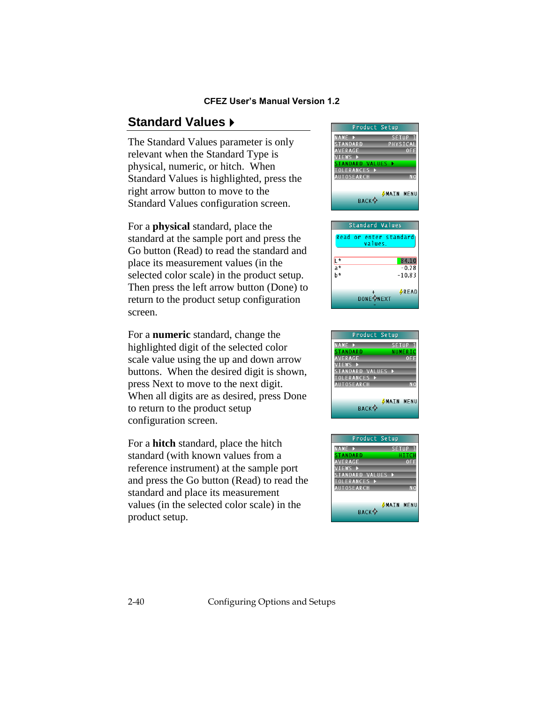#### **Standard Values**

The Standard Values parameter is only relevant when the Standard Type is physical, numeric, or hitch. When Standard Values is highlighted, press the right arrow button to move to the Standard Values configuration screen.

For a **physical** standard, place the standard at the sample port and press the Go button (Read) to read the standard and place its measurement values (in the selected color scale) in the product setup. Then press the left arrow button (Done) to return to the product setup configuration screen.

For a **numeric** standard, change the highlighted digit of the selected color scale value using the up and down arrow buttons. When the desired digit is shown, press Next to move to the next digit. When all digits are as desired, press Done to return to the product setup configuration screen.

For a **hitch** standard, place the hitch standard (with known values from a reference instrument) at the sample port and press the Go button (Read) to read the standard and place its measurement values (in the selected color scale) in the product setup.



|                | Standard Values                   |                              |
|----------------|-----------------------------------|------------------------------|
|                | Read or enter standard<br>values. |                              |
| L*<br>a*<br>b* |                                   | 84.10<br>$-0.28$<br>$-10.83$ |
|                | <b>DONE ONEXT</b>                 | /kEAD                        |





2-40 Configuring Options and Setups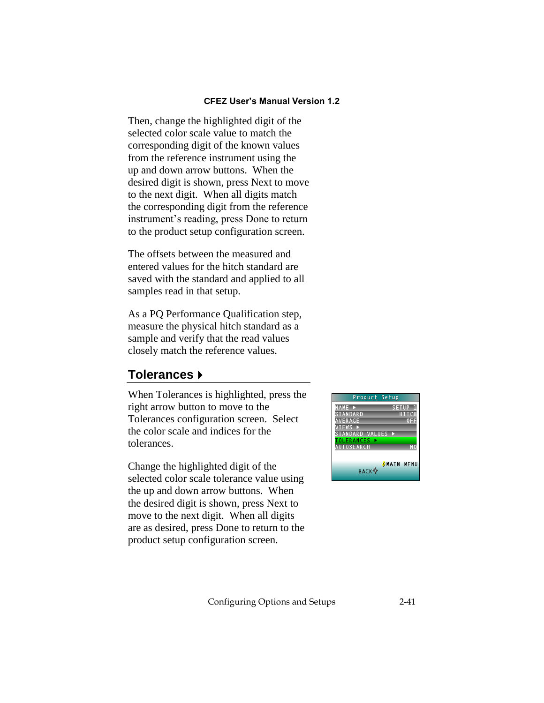Then, change the highlighted digit of the selected color scale value to match the corresponding digit of the known values from the reference instrument using the up and down arrow buttons. When the desired digit is shown, press Next to move to the next digit. When all digits match the corresponding digit from the reference instrument's reading, press Done to return to the product setup configuration screen.

The offsets between the measured and entered values for the hitch standard are saved with the standard and applied to all samples read in that setup.

As a PQ Performance Qualification step, measure the physical hitch standard as a sample and verify that the read values closely match the reference values.

### **Tolerances**

When Tolerances is highlighted, press the right arrow button to move to the Tolerances configuration screen. Select the color scale and indices for the tolerances.

Change the highlighted digit of the selected color scale tolerance value using the up and down arrow buttons. When the desired digit is shown, press Next to move to the next digit. When all digits are as desired, press Done to return to the product setup configuration screen.



Configuring Options and Setups 2-41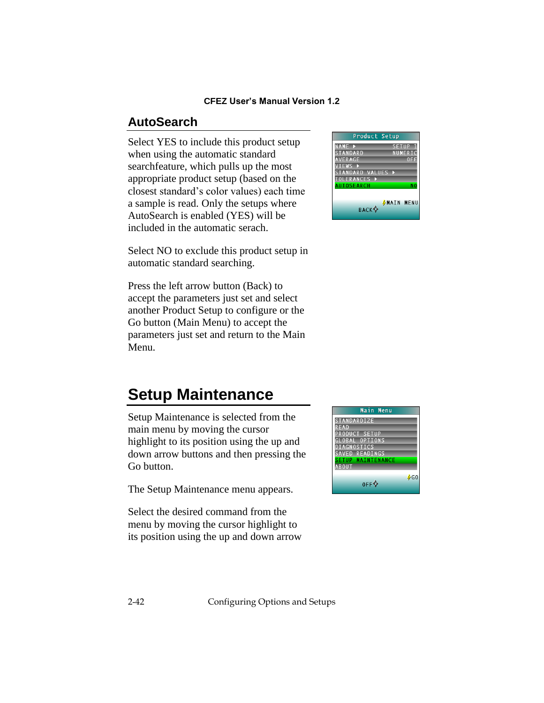#### **AutoSearch**

Select YES to include this product setup when using the automatic standard searchfeature, which pulls up the most appropriate product setup (based on the closest standard's color values) each time a sample is read. Only the setups where AutoSearch is enabled (YES) will be included in the automatic serach.

Select NO to exclude this product setup in automatic standard searching.

Press the left arrow button (Back) to accept the parameters just set and select another Product Setup to configure or the Go button (Main Menu) to accept the parameters just set and return to the Main Menu.



## **Setup Maintenance**

Setup Maintenance is selected from the main menu by moving the cursor highlight to its position using the up and down arrow buttons and then pressing the Go button.

The Setup Maintenance menu appears.

Select the desired command from the menu by moving the cursor highlight to its position using the up and down arrow



2-42 Configuring Options and Setups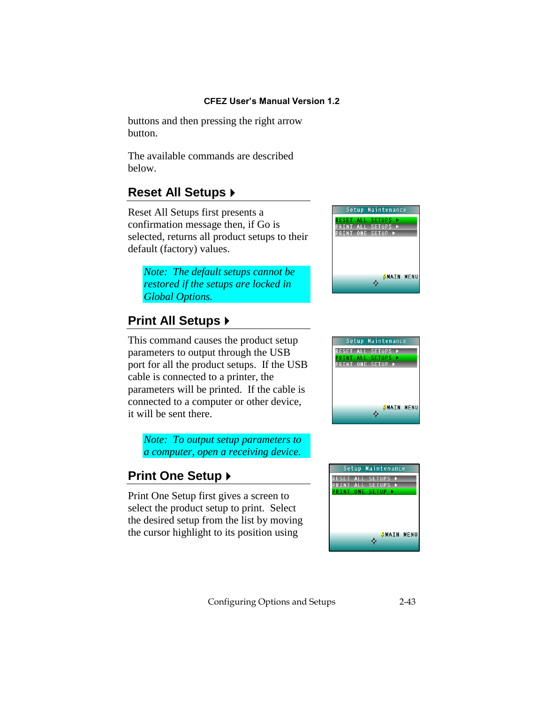buttons and then pressing the right arrow button.

The available commands are described below.

### **Reset All Setups**

Reset All Setups first presents a confirmation message then, if Go is selected, returns all product setups to their default (factory) values.

*Note: The default setups cannot be restored if the setups are locked in Global Options.*



### **Print All Setups**

This command causes the product setup parameters to output through the USB port for all the product setups. If the USB cable is connected to a printer, the parameters will be printed. If the cable is connected to a computer or other device, it will be sent there.

*Note: To output setup parameters to a computer, open a receiving device.*

### **Print One Setup**

Print One Setup first gives a screen to select the product setup to print. Select the desired setup from the list by moving the cursor highlight to its position using





Configuring Options and Setups 2-43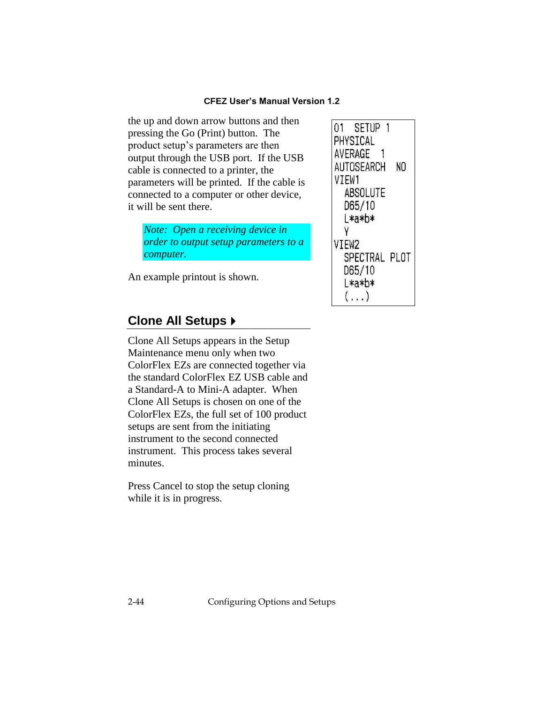the up and down arrow buttons and then pressing the Go (Print) button. The product setup's parameters are then output through the USB port. If the USB cable is connected to a printer, the parameters will be printed. If the cable is connected to a computer or other device, it will be sent there.

*Note: Open a receiving device in order to output setup parameters to a computer.*

An example printout is shown.

01 SETUP 1 **PHYSICAL** AVERAGE 1 AUTOSEARCH NO VIEW1 **ABSOLUTE** D65/10  $L \times a \times b \times$ Y VIEW2 SPECTRAL PLOT D65/10  $L \times a \times b \times$  $($ ...)

#### **Clone All Setups**

Clone All Setups appears in the Setup Maintenance menu only when two ColorFlex EZs are connected together via the standard ColorFlex EZ USB cable and a Standard-A to Mini-A adapter. When Clone All Setups is chosen on one of the ColorFlex EZs, the full set of 100 product setups are sent from the initiating instrument to the second connected instrument. This process takes several minutes.

Press Cancel to stop the setup cloning while it is in progress.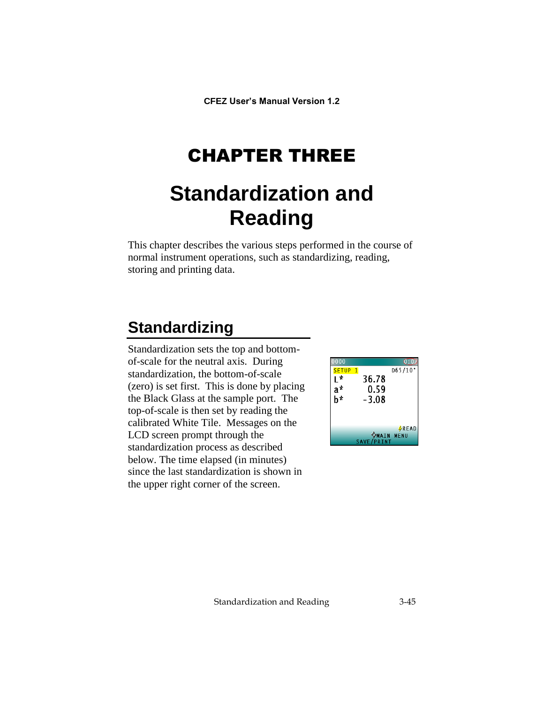# CHAPTER THREE

# **Standardization and Reading**

This chapter describes the various steps performed in the course of normal instrument operations, such as standardizing, reading, storing and printing data.

## **Standardizing**

Standardization sets the top and bottomof-scale for the neutral axis. During standardization, the bottom-of-scale (zero) is set first. This is done by placing the Black Glass at the sample port. The top-of-scale is then set by reading the calibrated White Tile. Messages on the LCD screen prompt through the standardization process as described below. The time elapsed (in minutes) since the last standardization is shown in the upper right corner of the screen.

| 0000                         |                  |                       |
|------------------------------|------------------|-----------------------|
| <b>SETUP</b><br>$\mathbf{1}$ |                  | $D65/10$ <sup>*</sup> |
| $L^*$                        | 36.78            |                       |
|                              | 0.59             |                       |
| a*<br>b*                     | -3.08            |                       |
|                              |                  |                       |
|                              |                  |                       |
|                              |                  |                       |
|                              |                  | /kEAD                 |
|                              | <b>MAIN MENU</b> |                       |
|                              | SAVE/PRINT       |                       |

Standardization and Reading 3-45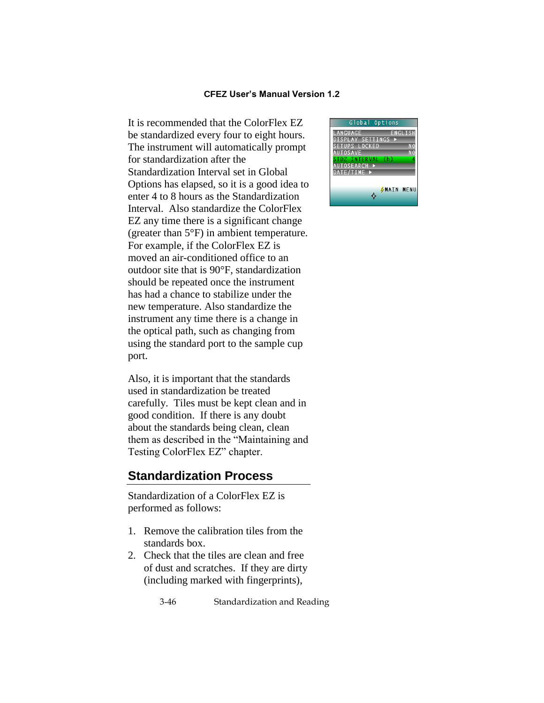It is recommended that the ColorFlex EZ be standardized every four to eight hours. The instrument will automatically prompt for standardization after the Standardization Interval set in Global Options has elapsed, so it is a good idea to enter 4 to 8 hours as the Standardization Interval. Also standardize the ColorFlex EZ any time there is a significant change (greater than 5°F) in ambient temperature. For example, if the ColorFlex EZ is moved an air-conditioned office to an outdoor site that is 90°F, standardization should be repeated once the instrument has had a chance to stabilize under the new temperature. Also standardize the instrument any time there is a change in the optical path, such as changing from using the standard port to the sample cup port.

Also, it is important that the standards used in standardization be treated carefully. Tiles must be kept clean and in good condition. If there is any doubt about the standards being clean, clean them as described in the "Maintaining and Testing ColorFlex EZ" chapter.

#### **Standardization Process**

Standardization of a ColorFlex EZ is performed as follows:

- 1. Remove the calibration tiles from the standards box.
- 2. Check that the tiles are clean and free of dust and scratches. If they are dirty (including marked with fingerprints),

3-46 Standardization and Reading

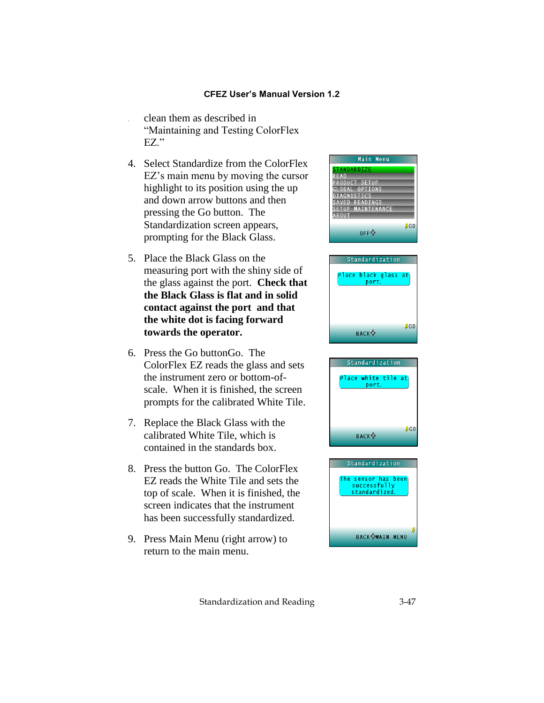- 3. clean them as described in "Maintaining and Testing ColorFlex EZ."
- 4. Select Standardize from the ColorFlex EZ's main menu by moving the cursor highlight to its position using the up and down arrow buttons and then pressing the Go button. The Standardization screen appears, prompting for the Black Glass.
- 5. Place the Black Glass on the measuring port with the shiny side of the glass against the port. **Check that the Black Glass is flat and in solid contact against the port and that the white dot is facing forward towards the operator.**
- 6. Press the Go buttonGo. The ColorFlex EZ reads the glass and sets the instrument zero or bottom-ofscale. When it is finished, the screen prompts for the calibrated White Tile.
- 7. Replace the Black Glass with the calibrated White Tile, which is contained in the standards box.
- 8. Press the button Go. The ColorFlex EZ reads the White Tile and sets the top of scale. When it is finished, the screen indicates that the instrument has been successfully standardized.
- 9. Press Main Menu (right arrow) to return to the main menu.







Standardization and Reading 3-47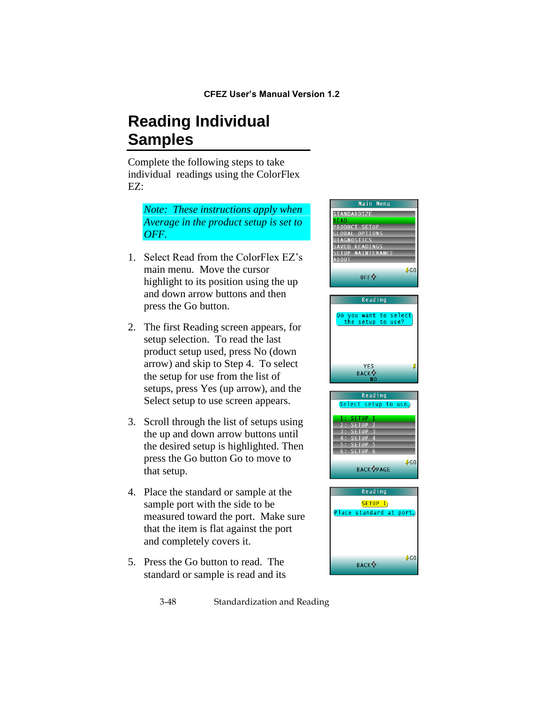## **Reading Individual Samples**

Complete the following steps to take individual readings using the ColorFlex EZ:

*Note: These instructions apply when Average in the product setup is set to OFF.*

- 1. Select Read from the ColorFlex EZ's main menu. Move the cursor highlight to its position using the up and down arrow buttons and then press the Go button.
- 2. The first Reading screen appears, for setup selection. To read the last product setup used, press No (down arrow) and skip to Step 4. To select the setup for use from the list of setups, press Yes (up arrow), and the Select setup to use screen appears.
- 3. Scroll through the list of setups using the up and down arrow buttons until the desired setup is highlighted. Then press the Go button Go to move to that setup.
- 4. Place the standard or sample at the sample port with the side to be measured toward the port. Make sure that the item is flat against the port and completely covers it.
- 5. Press the Go button to read. The standard or sample is read and its



3-48 Standardization and Reading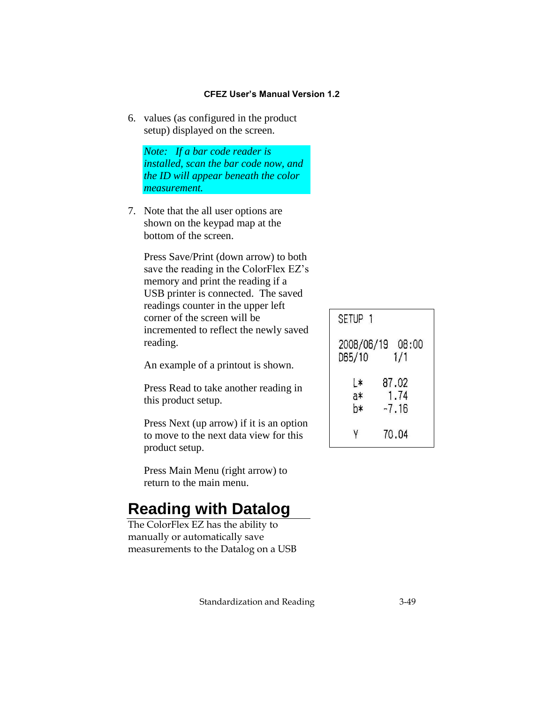6. values (as configured in the product setup) displayed on the screen.

*Note: If a bar code reader is installed, scan the bar code now, and the ID will appear beneath the color measurement.*

7. Note that the all user options are shown on the keypad map at the bottom of the screen.

> Press Save/Print (down arrow) to both save the reading in the ColorFlex EZ's memory and print the reading if a USB printer is connected. The saved readings counter in the upper left corner of the screen will be incremented to reflect the newly saved reading.

An example of a printout is shown.

Press Read to take another reading in this product setup.

Press Next (up arrow) if it is an option to move to the next data view for this product setup.

Press Main Menu (right arrow) to return to the main menu.

## **Reading with Datalog**

The ColorFlex EZ has the ability to manually or automatically save measurements to the Datalog on a USB

| SETUP 1    |         |
|------------|---------|
| 2008/06/19 | 08:00   |
| D65/10     | 1/1     |
| L×         | 87.02   |
| $a*$       | 1.74    |
| h*         | $-7.16$ |
|            | 70.04   |

Standardization and Reading 3-49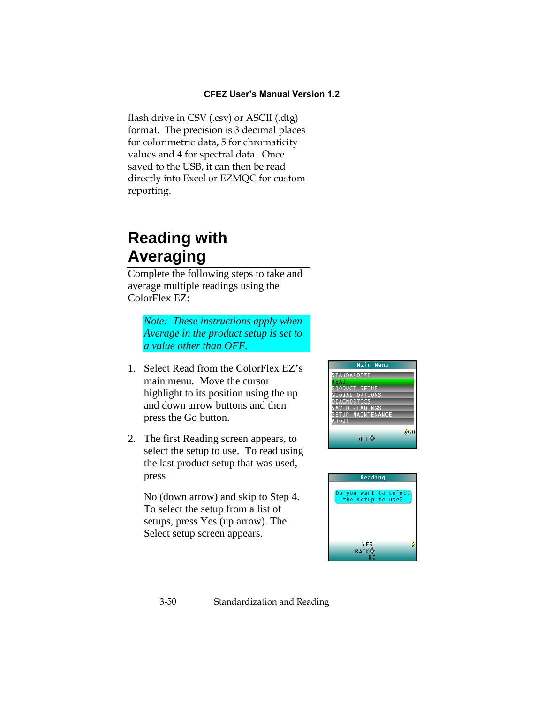flash drive in CSV (.csv) or ASCII (.dtg) format. The precision is 3 decimal places for colorimetric data, 5 for chromaticity values and 4 for spectral data. Once saved to the USB, it can then be read directly into Excel or EZMQC for custom reporting.

## **Reading with Averaging**

Complete the following steps to take and average multiple readings using the ColorFlex EZ:

*Note: These instructions apply when Average in the product setup is set to a value other than OFF.*

- 1. Select Read from the ColorFlex EZ's main menu. Move the cursor highlight to its position using the up and down arrow buttons and then press the Go button.
- 2. The first Reading screen appears, to select the setup to use. To read using the last product setup that was used, press

No (down arrow) and skip to Step 4. To select the setup from a list of setups, press Yes (up arrow). The Select setup screen appears.



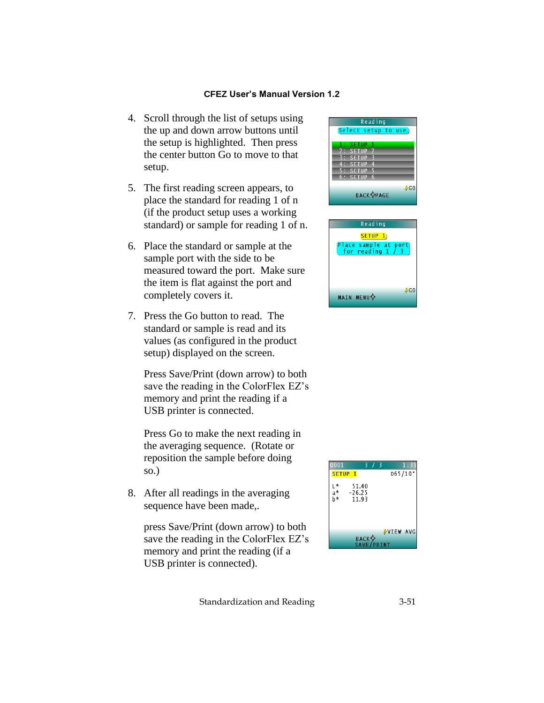- 4. Scroll through the list of setups using the up and down arrow buttons until the setup is highlighted. Then press the center button Go to move to that setup.
- 5. The first reading screen appears, to place the standard for reading 1 of n (if the product setup uses a working standard) or sample for reading 1 of n.
- 6. Place the standard or sample at the sample port with the side to be measured toward the port. Make sure the item is flat against the port and completely covers it.
- 7. Press the Go button to read. The standard or sample is read and its values (as configured in the product setup) displayed on the screen.

Press Save/Print (down arrow) to both save the reading in the ColorFlex EZ's memory and print the reading if a USB printer is connected.

Press Go to make the next reading in the averaging sequence. (Rotate or reposition the sample before doing so.)

8. After all readings in the averaging sequence have been made,.

press Save/Print (down arrow) to both save the reading in the ColorFlex EZ's memory and print the reading (if a USB printer is connected).





| 0001         | ₹                        | 3 |          | 1:35 |
|--------------|--------------------------|---|----------|------|
| <b>SETUP</b> | $\mathbf{1}$             |   | D65/10°  |      |
|              |                          |   |          |      |
| r,           | 51.40                    |   |          |      |
| a*           | $-26.25$                 |   |          |      |
|              | 11.93                    |   |          |      |
|              |                          |   |          |      |
|              |                          |   |          |      |
|              |                          |   |          |      |
|              |                          |   |          |      |
|              |                          |   | VIEW AVG |      |
|              | <b>BACK</b> <sup>O</sup> |   |          |      |
|              | SAVE/PRINT               |   |          |      |
|              |                          |   |          |      |

Standardization and Reading 3-51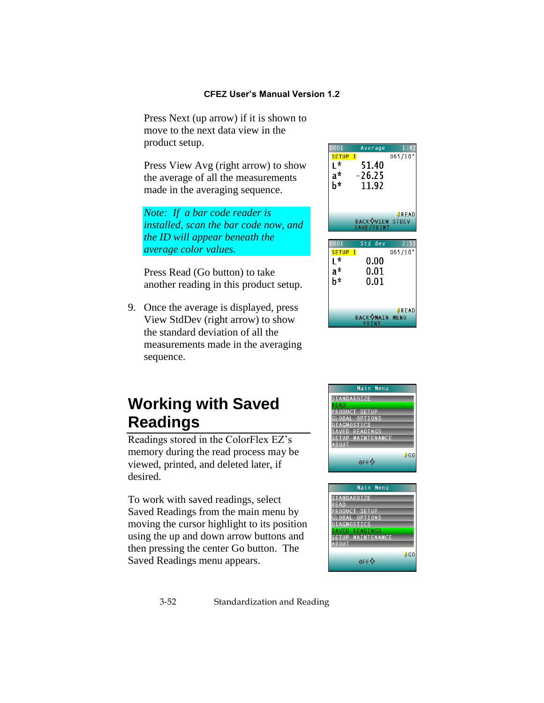Press Next (up arrow) if it is shown to move to the next data view in the product setup.

Press View Avg (right arrow) to show the average of all the measurements made in the averaging sequence.

*Note: If a bar code reader is installed, scan the bar code now, and the ID will appear beneath the average color values.*

Press Read (Go button) to take another reading in this product setup.

9. Once the average is displayed, press View StdDev (right arrow) to show the standard deviation of all the measurements made in the averaging sequence.

| 0001               | Average                              | 1:42                     |
|--------------------|--------------------------------------|--------------------------|
| <b>SETUP</b>       | $\mathbf{1}$                         | D65/10°                  |
| լ *                | 51.40                                |                          |
| $a^*$              | -26.25                               |                          |
|                    |                                      |                          |
| b*                 | 11.92                                |                          |
|                    |                                      |                          |
|                    |                                      | $\sqrt{R}$ READ          |
|                    | <b>BACK VIEW STDEV</b><br>SAVE/PRINT |                          |
|                    |                                      |                          |
|                    |                                      |                          |
| 001                | Std dev                              |                          |
| SETUP <sub>1</sub> |                                      | D65/10°                  |
|                    |                                      |                          |
| [ *                | 0.00                                 |                          |
| $a^*$              | 0.01                                 |                          |
| b*                 | 0.01                                 |                          |
|                    |                                      |                          |
|                    | <b>RACKÔMATN</b>                     | $\sqrt{R}$ READ<br>MENII |

## **Working with Saved Readings**

Readings stored in the ColorFlex EZ's memory during the read process may be viewed, printed, and deleted later, if desired.

To work with saved readings, select Saved Readings from the main menu by moving the cursor highlight to its position using the up and down arrow buttons and then pressing the center Go button. The Saved Readings menu appears.

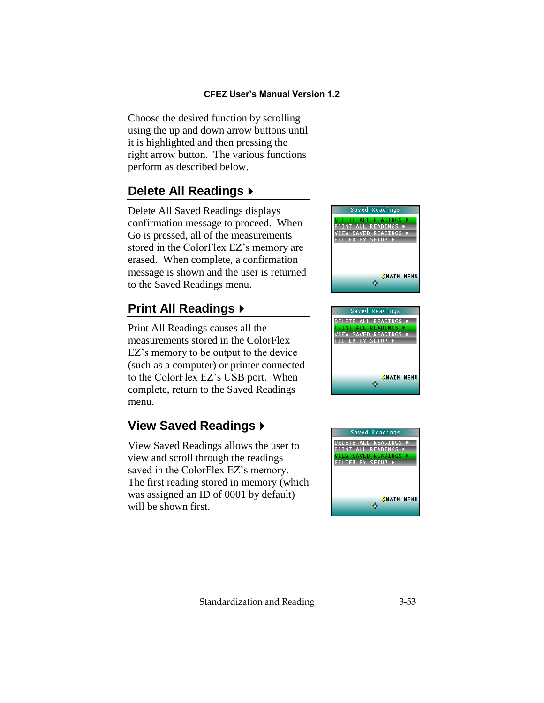Choose the desired function by scrolling using the up and down arrow buttons until it is highlighted and then pressing the right arrow button. The various functions perform as described below.

### **Delete All Readings**

Delete All Saved Readings displays confirmation message to proceed. When Go is pressed, all of the measurements stored in the ColorFlex EZ's memory are erased. When complete, a confirmation message is shown and the user is returned to the Saved Readings menu.

### **Print All Readings**

Print All Readings causes all the measurements stored in the ColorFlex EZ's memory to be output to the device (such as a computer) or printer connected to the ColorFlex EZ's USB port. When complete, return to the Saved Readings menu.

### **View Saved Readings**

View Saved Readings allows the user to view and scroll through the readings saved in the ColorFlex EZ's memory. The first reading stored in memory (which was assigned an ID of 0001 by default) will be shown first.







Standardization and Reading 3-53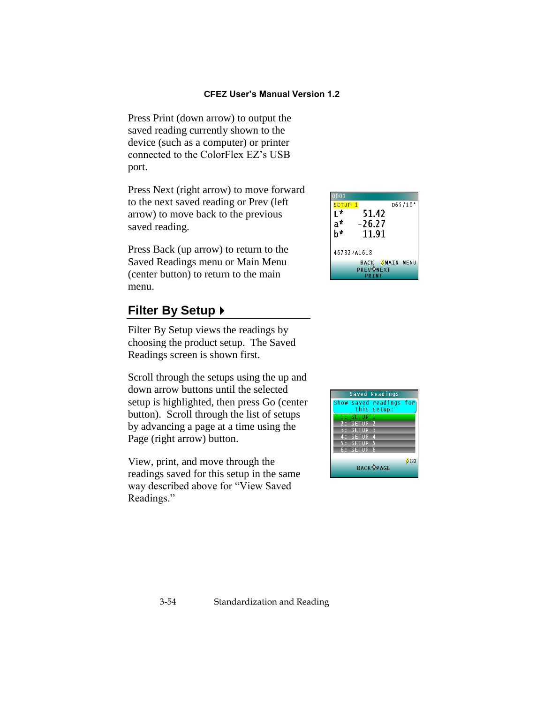Press Print (down arrow) to output the saved reading currently shown to the device (such as a computer) or printer connected to the ColorFlex EZ's USB port.

Press Next (right arrow) to move forward to the next saved reading or Prev (left arrow) to move back to the previous saved reading.

Press Back (up arrow) to return to the Saved Readings menu or Main Menu (center button) to return to the main menu.

### **Filter By Setup**

Filter By Setup views the readings by choosing the product setup. The Saved Readings screen is shown first.

Scroll through the setups using the up and down arrow buttons until the selected setup is highlighted, then press Go (center button). Scroll through the list of setups by advancing a page at a time using the Page (right arrow) button.

View, print, and move through the readings saved for this setup in the same way described above for "View Saved Readings."

| $a^*$<br>$\overline{b}$ * | 51.42<br>-26.27<br>11.91      |  |
|---------------------------|-------------------------------|--|
|                           | 46732PA1618                   |  |
|                           | BACK <mark>∥</mark> MAIN MENU |  |
|                           | PREVŶNEXT                     |  |
|                           | PRINT                         |  |
|                           |                               |  |

 $D65/10^*$ 

1001  $\sqrt{\frac{2E T U P}{1}}$ 

|       |                    | Saved Readings          |     |
|-------|--------------------|-------------------------|-----|
|       |                    | Show saved readings for |     |
|       |                    | this setup:             |     |
| 1 :   | SETUP <sub>1</sub> |                         |     |
|       | $2:$ SETUP         | 7                       |     |
|       | $:$ SETUP          | B                       |     |
|       | SFTUP              |                         |     |
| $5 -$ | <b>SETUP</b>       |                         |     |
|       | 6: SETUP           | ĥ                       |     |
|       |                    |                         |     |
|       |                    |                         | -SO |
|       |                    | <b>BACK PAGE</b>        |     |
|       |                    |                         |     |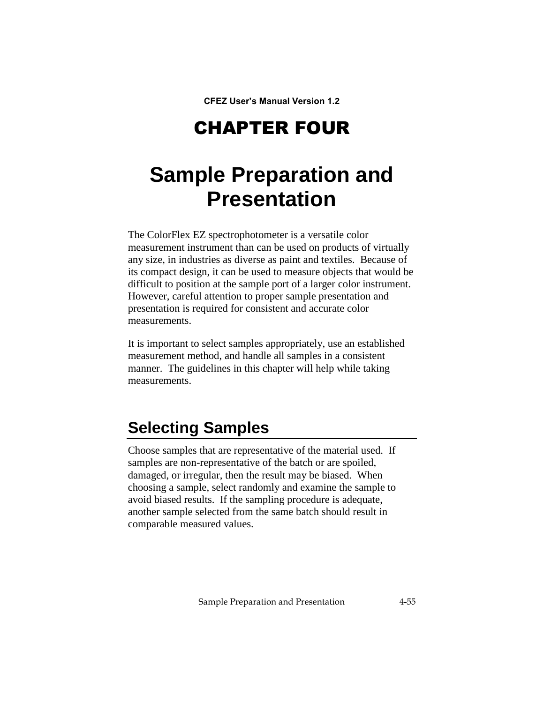## CHAPTER FOUR

# **Sample Preparation and Presentation**

The ColorFlex EZ spectrophotometer is a versatile color measurement instrument than can be used on products of virtually any size, in industries as diverse as paint and textiles. Because of its compact design, it can be used to measure objects that would be difficult to position at the sample port of a larger color instrument. However, careful attention to proper sample presentation and presentation is required for consistent and accurate color measurements.

It is important to select samples appropriately, use an established measurement method, and handle all samples in a consistent manner. The guidelines in this chapter will help while taking measurements.

## **Selecting Samples**

Choose samples that are representative of the material used. If samples are non-representative of the batch or are spoiled, damaged, or irregular, then the result may be biased. When choosing a sample, select randomly and examine the sample to avoid biased results. If the sampling procedure is adequate, another sample selected from the same batch should result in comparable measured values.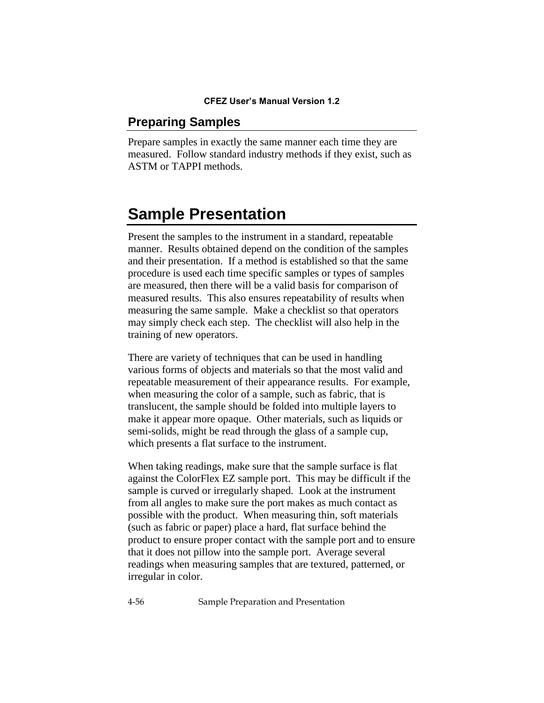#### **Preparing Samples**

Prepare samples in exactly the same manner each time they are measured. Follow standard industry methods if they exist, such as ASTM or TAPPI methods.

### **Sample Presentation**

Present the samples to the instrument in a standard, repeatable manner. Results obtained depend on the condition of the samples and their presentation. If a method is established so that the same procedure is used each time specific samples or types of samples are measured, then there will be a valid basis for comparison of measured results. This also ensures repeatability of results when measuring the same sample. Make a checklist so that operators may simply check each step. The checklist will also help in the training of new operators.

There are variety of techniques that can be used in handling various forms of objects and materials so that the most valid and repeatable measurement of their appearance results. For example, when measuring the color of a sample, such as fabric, that is translucent, the sample should be folded into multiple layers to make it appear more opaque. Other materials, such as liquids or semi-solids, might be read through the glass of a sample cup, which presents a flat surface to the instrument.

When taking readings, make sure that the sample surface is flat against the ColorFlex EZ sample port. This may be difficult if the sample is curved or irregularly shaped. Look at the instrument from all angles to make sure the port makes as much contact as possible with the product. When measuring thin, soft materials (such as fabric or paper) place a hard, flat surface behind the product to ensure proper contact with the sample port and to ensure that it does not pillow into the sample port. Average several readings when measuring samples that are textured, patterned, or irregular in color.

4-56 Sample Preparation and Presentation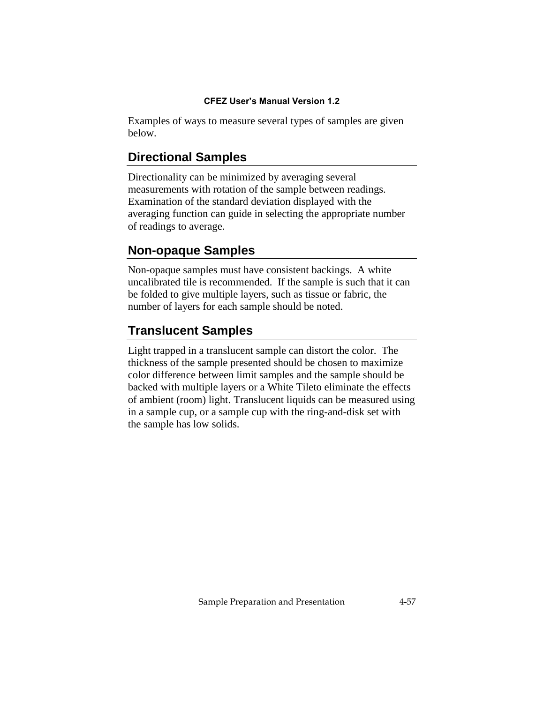Examples of ways to measure several types of samples are given below.

### **Directional Samples**

Directionality can be minimized by averaging several measurements with rotation of the sample between readings. Examination of the standard deviation displayed with the averaging function can guide in selecting the appropriate number of readings to average.

### **Non-opaque Samples**

Non-opaque samples must have consistent backings. A white uncalibrated tile is recommended. If the sample is such that it can be folded to give multiple layers, such as tissue or fabric, the number of layers for each sample should be noted.

### **Translucent Samples**

Light trapped in a translucent sample can distort the color. The thickness of the sample presented should be chosen to maximize color difference between limit samples and the sample should be backed with multiple layers or a White Tileto eliminate the effects of ambient (room) light. Translucent liquids can be measured using in a sample cup, or a sample cup with the ring-and-disk set with the sample has low solids.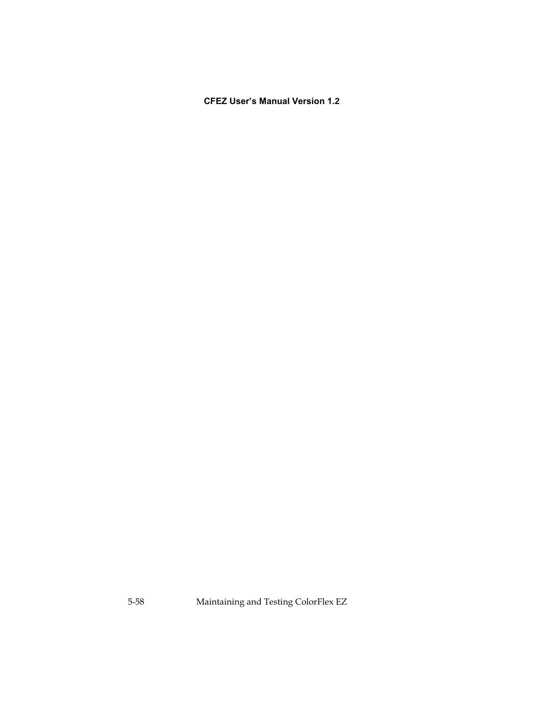5-58 Maintaining and Testing ColorFlex EZ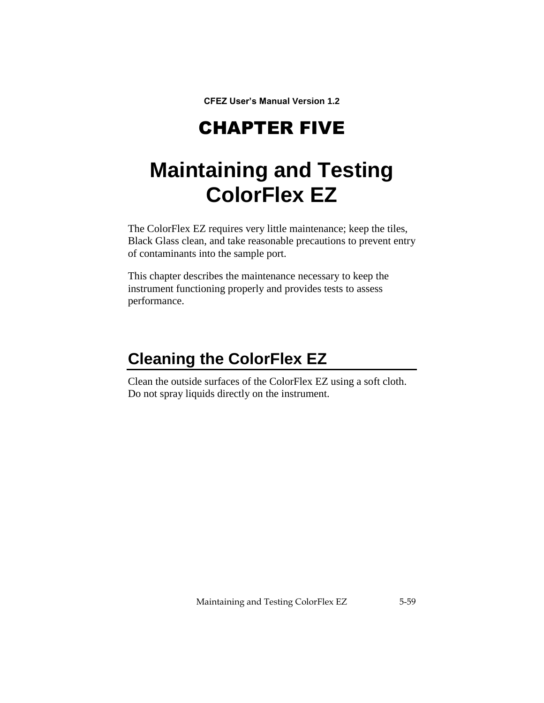## CHAPTER FIVE

# **Maintaining and Testing ColorFlex EZ**

The ColorFlex EZ requires very little maintenance; keep the tiles, Black Glass clean, and take reasonable precautions to prevent entry of contaminants into the sample port.

This chapter describes the maintenance necessary to keep the instrument functioning properly and provides tests to assess performance.

## **Cleaning the ColorFlex EZ**

Clean the outside surfaces of the ColorFlex EZ using a soft cloth. Do not spray liquids directly on the instrument.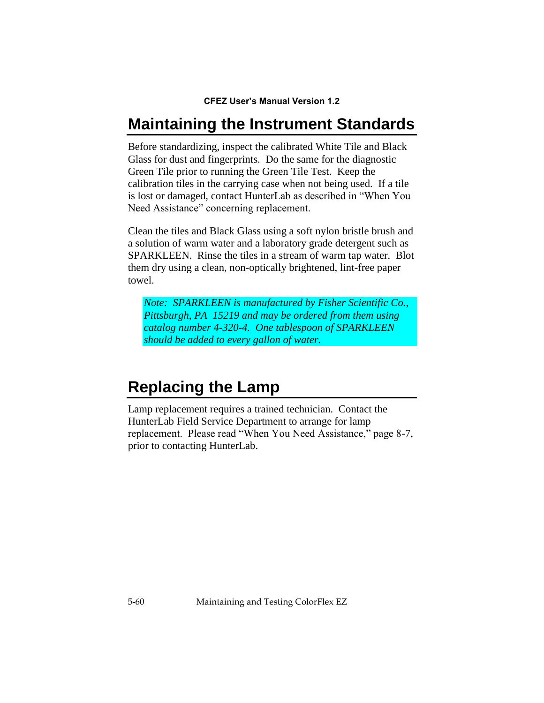## **Maintaining the Instrument Standards**

Before standardizing, inspect the calibrated White Tile and Black Glass for dust and fingerprints. Do the same for the diagnostic Green Tile prior to running the Green Tile Test. Keep the calibration tiles in the carrying case when not being used. If a tile is lost or damaged, contact HunterLab as described in "When You Need Assistance" concerning replacement.

Clean the tiles and Black Glass using a soft nylon bristle brush and a solution of warm water and a laboratory grade detergent such as SPARKLEEN. Rinse the tiles in a stream of warm tap water. Blot them dry using a clean, non-optically brightened, lint-free paper towel.

*Note: SPARKLEEN is manufactured by Fisher Scientific Co., Pittsburgh, PA 15219 and may be ordered from them using catalog number 4-320-4. One tablespoon of SPARKLEEN should be added to every gallon of water.*

## **Replacing the Lamp**

Lamp replacement requires a trained technician. Contact the HunterLab Field Service Department to arrange for lamp replacement. Please read "When You Need Assistance," page 8-7, prior to contacting HunterLab.

5-60 Maintaining and Testing ColorFlex EZ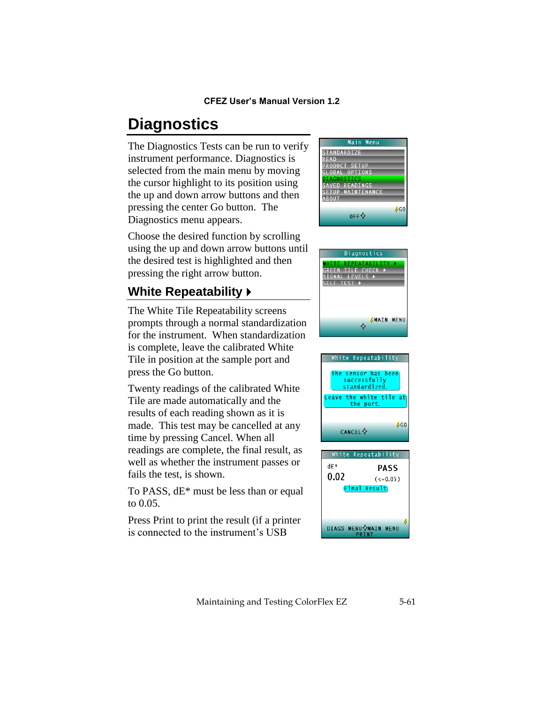## **Diagnostics**

The Diagnostics Tests can be run to verify instrument performance. Diagnostics is selected from the main menu by moving the cursor highlight to its position using the up and down arrow buttons and then pressing the center Go button. The Diagnostics menu appears.



Choose the desired function by scrolling using the up and down arrow buttons until the desired test is highlighted and then pressing the right arrow button.

#### **White Repeatability**

The White Tile Repeatability screens prompts through a normal standardization for the instrument. When standardization is complete, leave the calibrated White Tile in position at the sample port and press the Go button.

Twenty readings of the calibrated White Tile are made automatically and the results of each reading shown as it is made. This test may be cancelled at any time by pressing Cancel. When all readings are complete, the final result, as well as whether the instrument passes or fails the test, is shown.

To PASS, dE\* must be less than or equal to 0.05.

Press Print to print the result (if a printer is connected to the instrument's USB



Maintaining and Testing ColorFlex EZ 5-61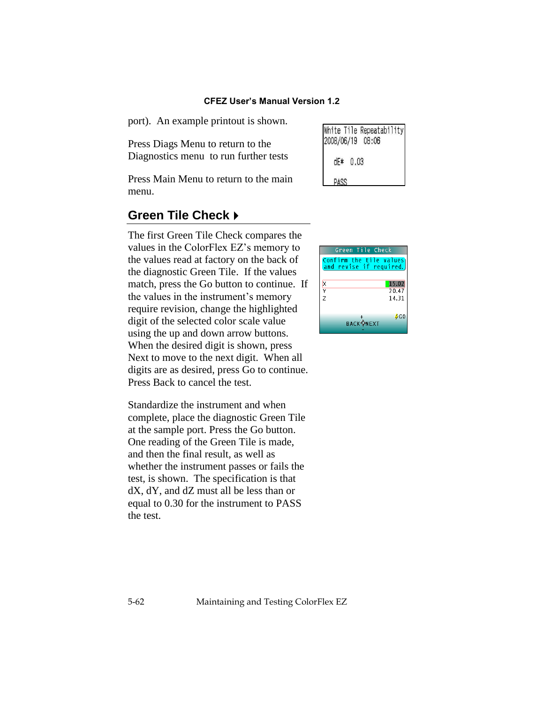port). An example printout is shown.

Press Diags Menu to return to the Diagnostics menu to run further tests

Press Main Menu to return to the main menu.

|      | White Tile Repeatability<br>2008/06/19 08:06 |
|------|----------------------------------------------|
|      | dE* 0.03                                     |
| PASS |                                              |

### **Green Tile Check**

The first Green Tile Check compares the values in the ColorFlex EZ's memory to the values read at factory on the back of the diagnostic Green Tile. If the values match, press the Go button to continue. If the values in the instrument's memory require revision, change the highlighted digit of the selected color scale value using the up and down arrow buttons. When the desired digit is shown, press Next to move to the next digit. When all digits are as desired, press Go to continue. Press Back to cancel the test.

Standardize the instrument and when complete, place the diagnostic Green Tile at the sample port. Press the Go button. One reading of the Green Tile is made, and then the final result, as well as whether the instrument passes or fails the test, is shown. The specification is that dX, dY, and dZ must all be less than or equal to 0.30 for the instrument to PASS the test.

| Green Tile Check                                     |                         |
|------------------------------------------------------|-------------------------|
| Confirm the tile values)<br>and revise if required.) |                         |
| Χ<br>Z                                               | 15.02<br>20.47<br>14.31 |
| <b>BACK ONEXT</b>                                    | -SCO                    |

5-62 Maintaining and Testing ColorFlex EZ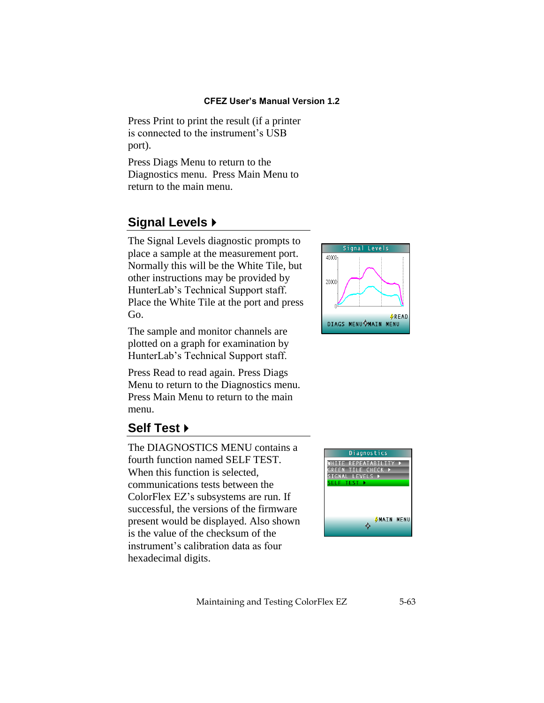Press Print to print the result (if a printer is connected to the instrument's USB port).

Press Diags Menu to return to the Diagnostics menu. Press Main Menu to return to the main menu.

### **Signal Levels**

The Signal Levels diagnostic prompts to place a sample at the measurement port. Normally this will be the White Tile, but other instructions may be provided by HunterLab's Technical Support staff. Place the White Tile at the port and press Go.

The sample and monitor channels are plotted on a graph for examination by HunterLab's Technical Support staff.

Press Read to read again. Press Diags Menu to return to the Diagnostics menu. Press Main Menu to return to the main menu.

### **Self Test**

The DIAGNOSTICS MENU contains a fourth function named SELF TEST. When this function is selected, communications tests between the ColorFlex EZ's subsystems are run. If successful, the versions of the firmware present would be displayed. Also shown is the value of the checksum of the instrument's calibration data as four hexadecimal digits.



Maintaining and Testing ColorFlex EZ 5-63



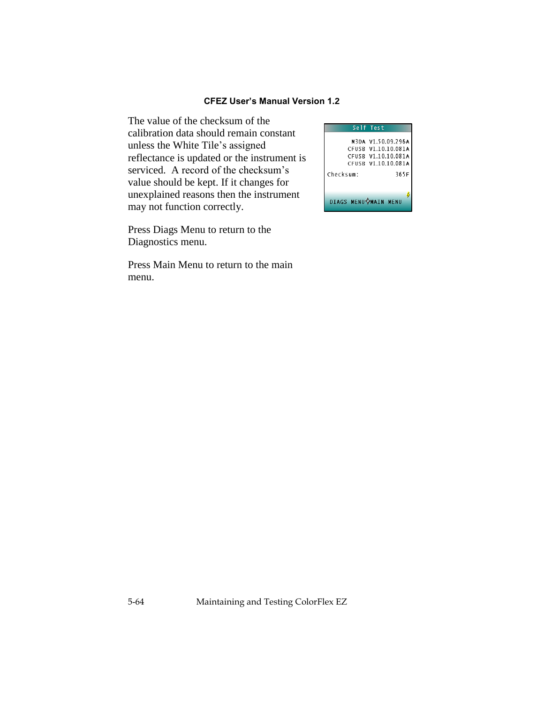The value of the checksum of the calibration data should remain constant unless the White Tile's assigned reflectance is updated or the instrument is serviced. A record of the checksum's value should be kept. If it changes for unexplained reasons then the instrument may not function correctly.

Press Diags Menu to return to the Diagnostics menu.

Press Main Menu to return to the main menu.

|                             | Self Test                                                                               |
|-----------------------------|-----------------------------------------------------------------------------------------|
|                             | M3DA V1.50.09.296A<br>CFUSB V1.10.10.081A<br>CFUSB V1.10.10.081A<br>CFUSB V1.10.10.081A |
| Checksum:                   | 365F                                                                                    |
| <b>DIAGS MENUVMAIN MENU</b> |                                                                                         |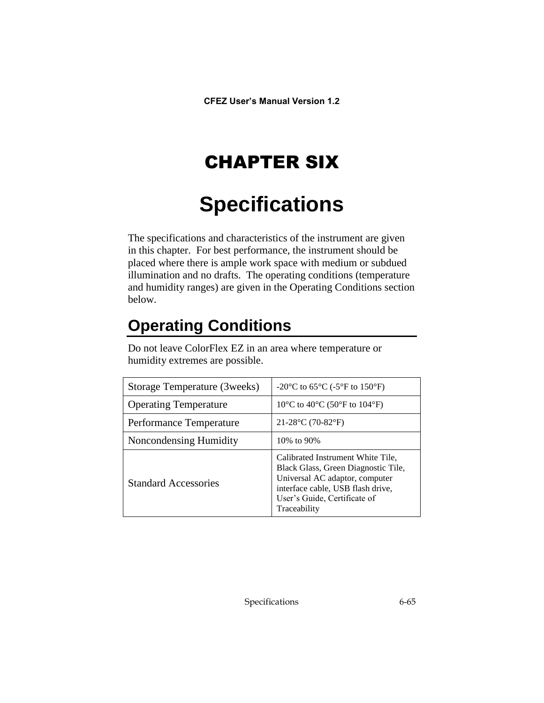# CHAPTER SIX

# **Specifications**

The specifications and characteristics of the instrument are given in this chapter. For best performance, the instrument should be placed where there is ample work space with medium or subdued illumination and no drafts. The operating conditions (temperature and humidity ranges) are given in the Operating Conditions section below.

## **Operating Conditions**

Do not leave ColorFlex EZ in an area where temperature or humidity extremes are possible.

| Storage Temperature (3weeks) | -20 $^{\circ}$ C to 65 $^{\circ}$ C (-5 $^{\circ}$ F to 150 $^{\circ}$ F)                                                                                                                       |
|------------------------------|-------------------------------------------------------------------------------------------------------------------------------------------------------------------------------------------------|
| <b>Operating Temperature</b> | 10 <sup>o</sup> C to 40 <sup>o</sup> C (50 <sup>o</sup> F to 104 <sup>o</sup> F)                                                                                                                |
| Performance Temperature      | $21-28$ °C (70-82°F)                                                                                                                                                                            |
| Noncondensing Humidity       | 10\% to 90\%                                                                                                                                                                                    |
| <b>Standard Accessories</b>  | Calibrated Instrument White Tile,<br>Black Glass, Green Diagnostic Tile,<br>Universal AC adaptor, computer<br>interface cable, USB flash drive,<br>User's Guide, Certificate of<br>Traceability |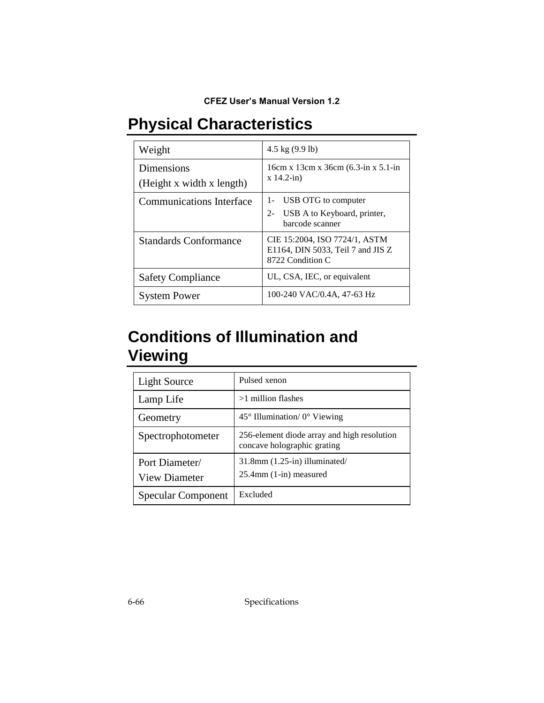# **Physical Characteristics**

| Weight                                         | 4.5 kg $(9.9$ lb)                                                                      |
|------------------------------------------------|----------------------------------------------------------------------------------------|
| <b>Dimensions</b><br>(Height x width x length) | $16cm x 13cm x 36cm (6.3-in x 5.1-in$<br>$x 14.2-in)$                                  |
| <b>Communications Interface</b>                | USB OTG to computer<br>$1-$<br>USB A to Keyboard, printer,<br>$2 -$<br>barcode scanner |
| <b>Standards Conformance</b>                   | CIE 15:2004, ISO 7724/1, ASTM<br>E1164, DIN 5033, Teil 7 and JIS Z<br>8722 Condition C |
| <b>Safety Compliance</b>                       | UL, CSA, IEC, or equivalent                                                            |
| <b>System Power</b>                            | 100-240 VAC/0.4A, 47-63 Hz                                                             |

## **Conditions of Illumination and Viewing**

| Light Source                    | Pulsed xenon                                                               |
|---------------------------------|----------------------------------------------------------------------------|
| Lamp Life                       | $>1$ million flashes                                                       |
| Geometry                        | $45^{\circ}$ Illumination/ $0^{\circ}$ Viewing                             |
| Spectrophotometer               | 256-element diode array and high resolution<br>concave holographic grating |
| Port Diameter/<br>View Diameter | $31.8$ mm $(1.25$ -in) illuminated/<br>$25.4$ mm $(1$ -in) measured        |
| <b>Specular Component</b>       | Excluded                                                                   |

6-66 Specifications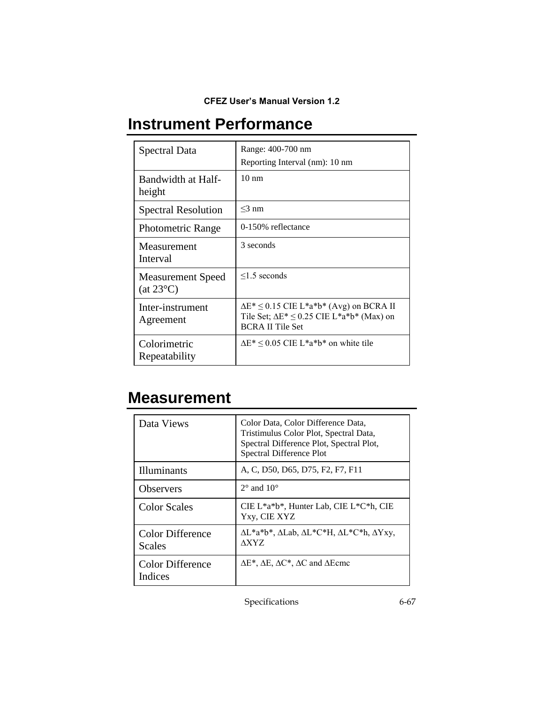## **Instrument Performance**

| Spectral Data                                  | Range: 400-700 nm                                                                                                                    |
|------------------------------------------------|--------------------------------------------------------------------------------------------------------------------------------------|
|                                                | Reporting Interval (nm): 10 nm                                                                                                       |
| Bandwidth at Half-<br>height                   | $10 \text{ nm}$                                                                                                                      |
| <b>Spectral Resolution</b>                     | $\leq$ 3 nm                                                                                                                          |
| <b>Photometric Range</b>                       | 0-150% reflectance                                                                                                                   |
| Measurement<br>Interval                        | 3 seconds                                                                                                                            |
| <b>Measurement Speed</b><br>$(at 23^{\circ}C)$ | $\leq$ 1.5 seconds                                                                                                                   |
| Inter-instrument<br>Agreement                  | $\Delta E^* \leq 0.15$ CIE L*a*b* (Avg) on BCRA II<br>Tile Set; $\Delta E^* \le 0.25$ CIE L*a*b* (Max) on<br><b>BCRA II Tile Set</b> |
| Colorimetric<br>Repeatability                  | $\Delta E^*$ < 0.05 CIE L*a*b* on white tile                                                                                         |

## **Measurement**

| Data Views                         | Color Data, Color Difference Data,<br>Tristimulus Color Plot, Spectral Data,<br>Spectral Difference Plot, Spectral Plot,<br>Spectral Difference Plot |
|------------------------------------|------------------------------------------------------------------------------------------------------------------------------------------------------|
| Illuminants                        | A, C, D50, D65, D75, F2, F7, F11                                                                                                                     |
| <b>Observers</b>                   | $2^{\circ}$ and $10^{\circ}$                                                                                                                         |
| <b>Color Scales</b>                | CIE L*a*b*, Hunter Lab, CIE L*C*h, CIE<br>Yxy, CIE XYZ                                                                                               |
| <b>Color Difference</b><br>Scales  | $\Delta L^* a^* b^*$ , $\Delta Lab$ , $\Delta L^* C^* H$ , $\Delta L^* C^* h$ , $\Delta Y xy$ ,<br>AXYZ.                                             |
| <b>Color Difference</b><br>Indices | $\Delta E^*$ , $\Delta E$ , $\Delta C^*$ , $\Delta C$ and $\Delta E$ cmc                                                                             |

Specifications 6-67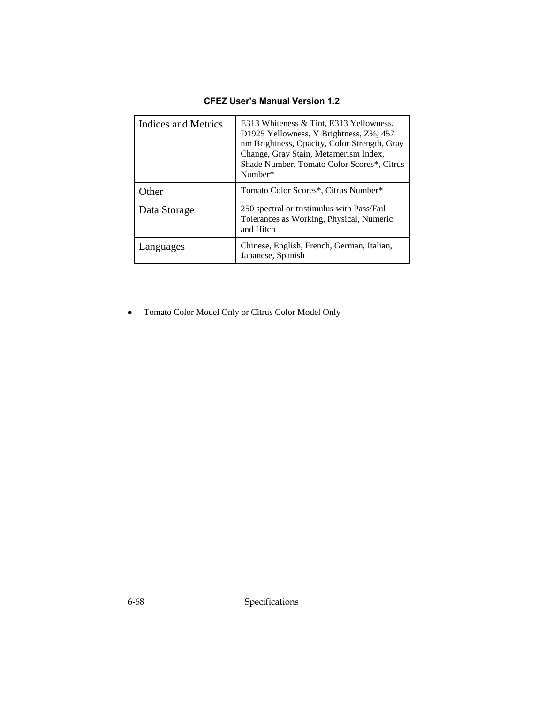| Indices and Metrics | E313 Whiteness & Tint, E313 Yellowness,<br>D1925 Yellowness, Y Brightness, Z%, 457<br>nm Brightness, Opacity, Color Strength, Gray<br>Change, Gray Stain, Metamerism Index,<br>Shade Number, Tomato Color Scores*, Citrus<br>Number* |
|---------------------|--------------------------------------------------------------------------------------------------------------------------------------------------------------------------------------------------------------------------------------|
| Other               | Tomato Color Scores*, Citrus Number*                                                                                                                                                                                                 |
| Data Storage        | 250 spectral or tristimulus with Pass/Fail<br>Tolerances as Working, Physical, Numeric<br>and Hitch                                                                                                                                  |
| Languages           | Chinese, English, French, German, Italian,<br>Japanese, Spanish                                                                                                                                                                      |

Tomato Color Model Only or Citrus Color Model Only

6-68 Specifications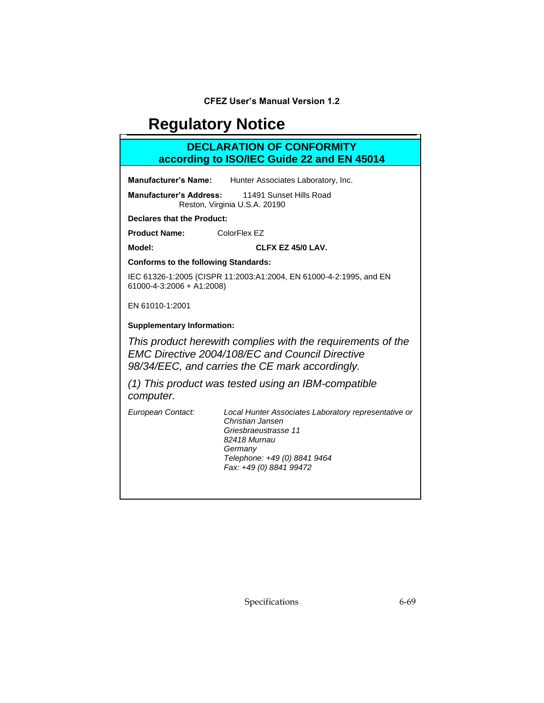## **Regulatory Notice**

### **DECLARATION OF CONFORMITY according to ISO/IEC Guide 22 and EN 45014 Manufacturer's Name:** Hunter Associates Laboratory, Inc. **Manufacturer's Address:** 11491 Sunset Hills Road Reston, Virginia U.S.A. 20190 **Declares that the Product: Product Name:** ColorFlex EZ **Model: CLFX EZ 45/0 LAV. Conforms to the following Standards:** IEC 61326-1:2005 (CISPR 11:2003:A1:2004, EN 61000-4-2:1995, and EN 61000-4-3:2006 + A1:2008) EN 61010-1:2001 **Supplementary Information:** *This product herewith complies with the requirements of the EMC Directive 2004/108/EC and Council Directive 98/34/EEC, and carries the CE mark accordingly. (1) This product was tested using an IBM-compatible computer. European Contact: Local Hunter Associates Laboratory representative or Christian Jansen Griesbraeustrasse 11 82418 Murnau Germany Telephone: +49 (0) 8841 9464 Fax: +49 (0) 8841 99472*

Specifications 6-69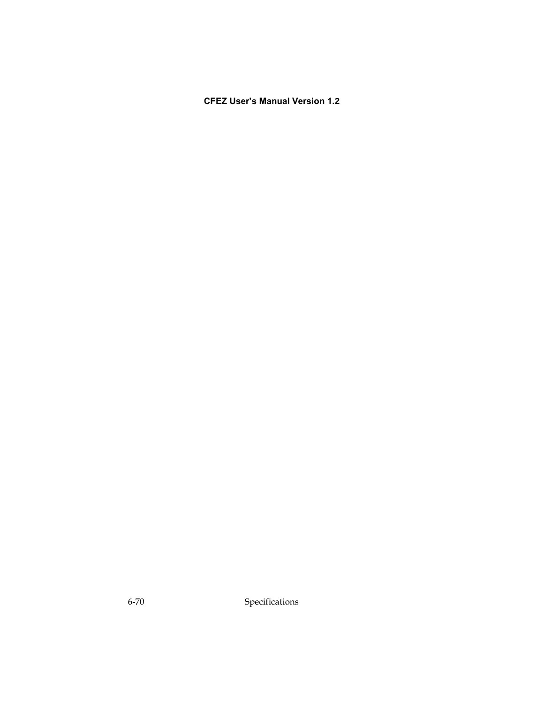6-70 Specifications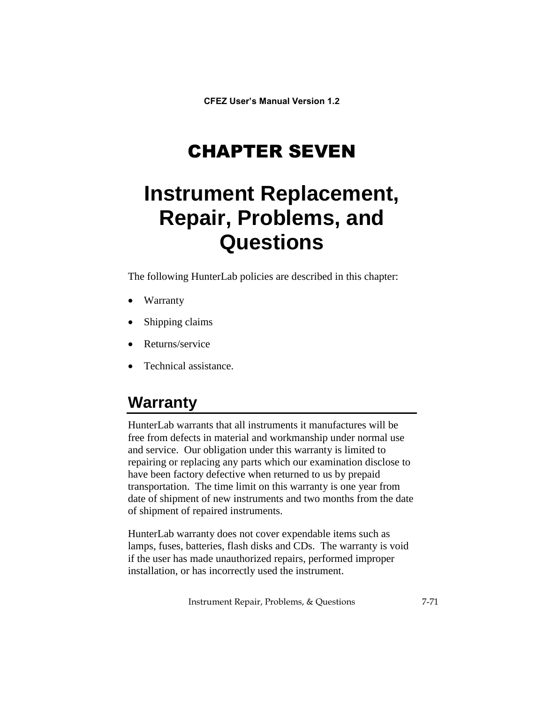## CHAPTER SEVEN

# **Instrument Replacement, Repair, Problems, and Questions**

The following HunterLab policies are described in this chapter:

- Warranty
- Shipping claims
- Returns/service
- Technical assistance.

## **Warranty**

HunterLab warrants that all instruments it manufactures will be free from defects in material and workmanship under normal use and service. Our obligation under this warranty is limited to repairing or replacing any parts which our examination disclose to have been factory defective when returned to us by prepaid transportation. The time limit on this warranty is one year from date of shipment of new instruments and two months from the date of shipment of repaired instruments.

HunterLab warranty does not cover expendable items such as lamps, fuses, batteries, flash disks and CDs. The warranty is void if the user has made unauthorized repairs, performed improper installation, or has incorrectly used the instrument.

Instrument Repair, Problems, & Questions 7-71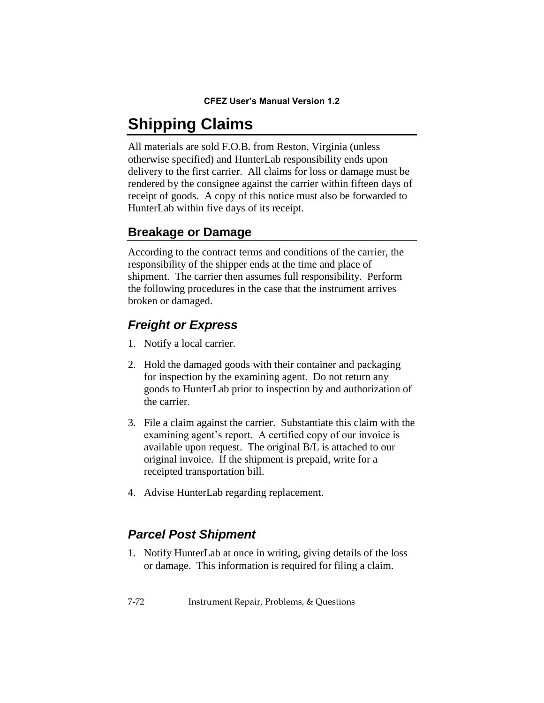## **Shipping Claims**

All materials are sold F.O.B. from Reston, Virginia (unless otherwise specified) and HunterLab responsibility ends upon delivery to the first carrier. All claims for loss or damage must be rendered by the consignee against the carrier within fifteen days of receipt of goods. A copy of this notice must also be forwarded to HunterLab within five days of its receipt.

#### **Breakage or Damage**

According to the contract terms and conditions of the carrier, the responsibility of the shipper ends at the time and place of shipment. The carrier then assumes full responsibility. Perform the following procedures in the case that the instrument arrives broken or damaged.

### *Freight or Express*

- 1. Notify a local carrier.
- 2. Hold the damaged goods with their container and packaging for inspection by the examining agent. Do not return any goods to HunterLab prior to inspection by and authorization of the carrier.
- 3. File a claim against the carrier. Substantiate this claim with the examining agent's report. A certified copy of our invoice is available upon request. The original B/L is attached to our original invoice. If the shipment is prepaid, write for a receipted transportation bill.
- 4. Advise HunterLab regarding replacement.

### *Parcel Post Shipment*

- 1. Notify HunterLab at once in writing, giving details of the loss or damage. This information is required for filing a claim.
- 7-72 Instrument Repair, Problems, & Questions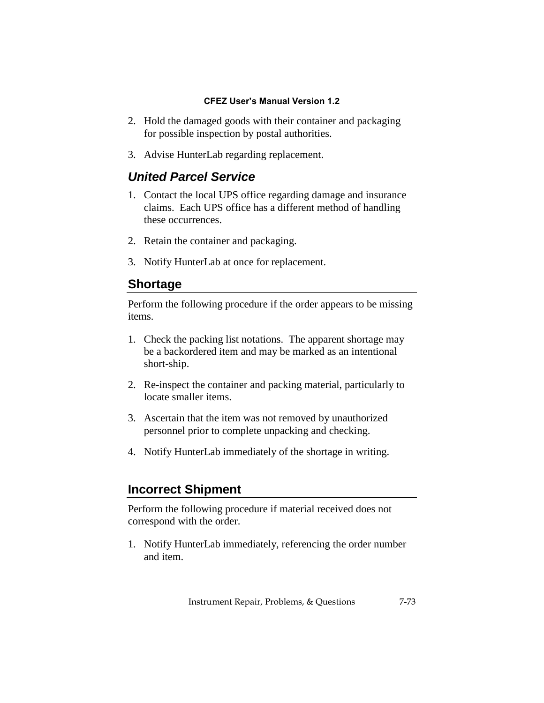- 2. Hold the damaged goods with their container and packaging for possible inspection by postal authorities.
- 3. Advise HunterLab regarding replacement.

# *United Parcel Service*

- 1. Contact the local UPS office regarding damage and insurance claims. Each UPS office has a different method of handling these occurrences.
- 2. Retain the container and packaging.
- 3. Notify HunterLab at once for replacement.

## **Shortage**

Perform the following procedure if the order appears to be missing items.

- 1. Check the packing list notations. The apparent shortage may be a backordered item and may be marked as an intentional short-ship.
- 2. Re-inspect the container and packing material, particularly to locate smaller items.
- 3. Ascertain that the item was not removed by unauthorized personnel prior to complete unpacking and checking.
- 4. Notify HunterLab immediately of the shortage in writing.

# **Incorrect Shipment**

Perform the following procedure if material received does not correspond with the order.

1. Notify HunterLab immediately, referencing the order number and item.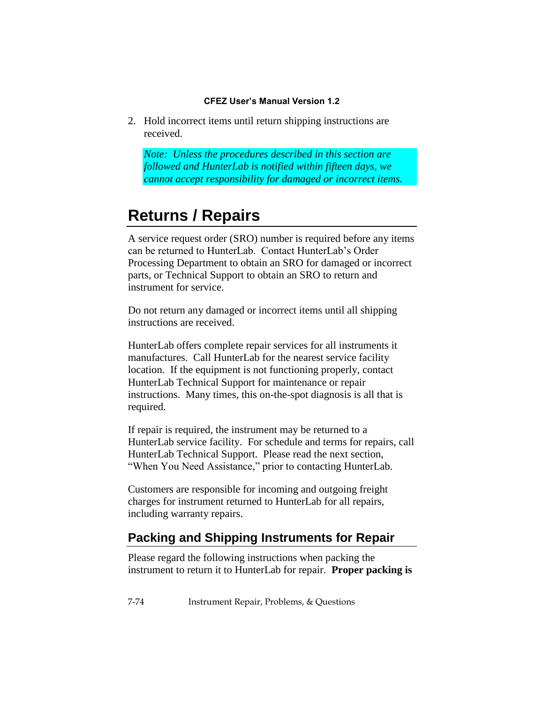2. Hold incorrect items until return shipping instructions are received.

*Note: Unless the procedures described in this section are followed and HunterLab is notified within fifteen days, we cannot accept responsibility for damaged or incorrect items.*

# **Returns / Repairs**

A service request order (SRO) number is required before any items can be returned to HunterLab. Contact HunterLab's Order Processing Department to obtain an SRO for damaged or incorrect parts, or Technical Support to obtain an SRO to return and instrument for service.

Do not return any damaged or incorrect items until all shipping instructions are received.

HunterLab offers complete repair services for all instruments it manufactures. Call HunterLab for the nearest service facility location. If the equipment is not functioning properly, contact HunterLab Technical Support for maintenance or repair instructions. Many times, this on-the-spot diagnosis is all that is required.

If repair is required, the instrument may be returned to a HunterLab service facility. For schedule and terms for repairs, call HunterLab Technical Support. Please read the next section, "When You Need Assistance," prior to contacting HunterLab.

Customers are responsible for incoming and outgoing freight charges for instrument returned to HunterLab for all repairs, including warranty repairs.

### **Packing and Shipping Instruments for Repair**

Please regard the following instructions when packing the instrument to return it to HunterLab for repair. **Proper packing is** 

7-74 Instrument Repair, Problems, & Questions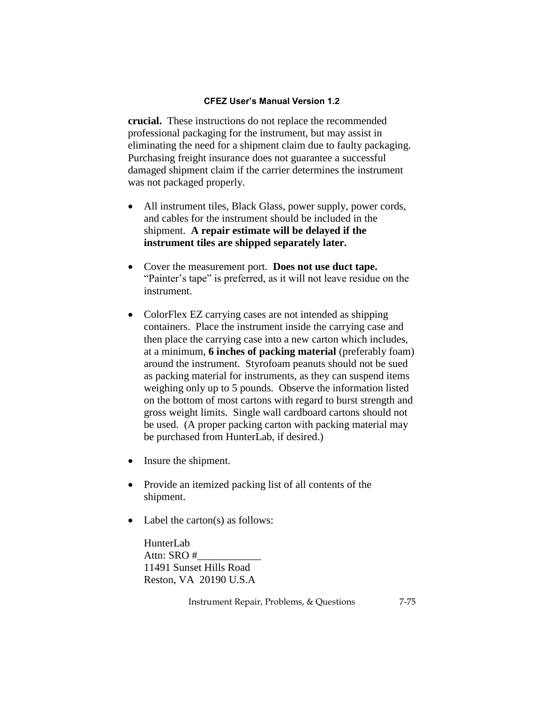**crucial.** These instructions do not replace the recommended professional packaging for the instrument, but may assist in eliminating the need for a shipment claim due to faulty packaging. Purchasing freight insurance does not guarantee a successful damaged shipment claim if the carrier determines the instrument was not packaged properly.

- All instrument tiles, Black Glass, power supply, power cords, and cables for the instrument should be included in the shipment. **A repair estimate will be delayed if the instrument tiles are shipped separately later.**
- Cover the measurement port. **Does not use duct tape.** "Painter's tape" is preferred, as it will not leave residue on the instrument.
- ColorFlex EZ carrying cases are not intended as shipping containers. Place the instrument inside the carrying case and then place the carrying case into a new carton which includes, at a minimum, **6 inches of packing material** (preferably foam) around the instrument. Styrofoam peanuts should not be sued as packing material for instruments, as they can suspend items weighing only up to 5 pounds. Observe the information listed on the bottom of most cartons with regard to burst strength and gross weight limits. Single wall cardboard cartons should not be used. (A proper packing carton with packing material may be purchased from HunterLab, if desired.)
- Insure the shipment.
- Provide an itemized packing list of all contents of the shipment.
- Label the carton(s) as follows:

HunterLab Attn: SRO #\_\_\_\_\_\_\_\_\_\_\_\_ 11491 Sunset Hills Road Reston, VA 20190 U.S.A

Instrument Repair, Problems, & Questions 7-75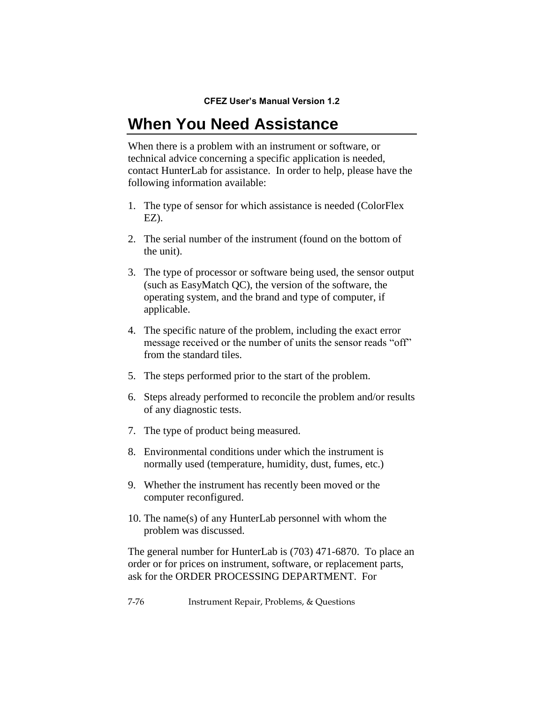# **When You Need Assistance**

When there is a problem with an instrument or software, or technical advice concerning a specific application is needed, contact HunterLab for assistance. In order to help, please have the following information available:

- 1. The type of sensor for which assistance is needed (ColorFlex  $EZ$ ).
- 2. The serial number of the instrument (found on the bottom of the unit).
- 3. The type of processor or software being used, the sensor output (such as EasyMatch QC), the version of the software, the operating system, and the brand and type of computer, if applicable.
- 4. The specific nature of the problem, including the exact error message received or the number of units the sensor reads "off" from the standard tiles.
- 5. The steps performed prior to the start of the problem.
- 6. Steps already performed to reconcile the problem and/or results of any diagnostic tests.
- 7. The type of product being measured.
- 8. Environmental conditions under which the instrument is normally used (temperature, humidity, dust, fumes, etc.)
- 9. Whether the instrument has recently been moved or the computer reconfigured.
- 10. The name(s) of any HunterLab personnel with whom the problem was discussed.

The general number for HunterLab is (703) 471-6870. To place an order or for prices on instrument, software, or replacement parts, ask for the ORDER PROCESSING DEPARTMENT. For

7-76 Instrument Repair, Problems, & Questions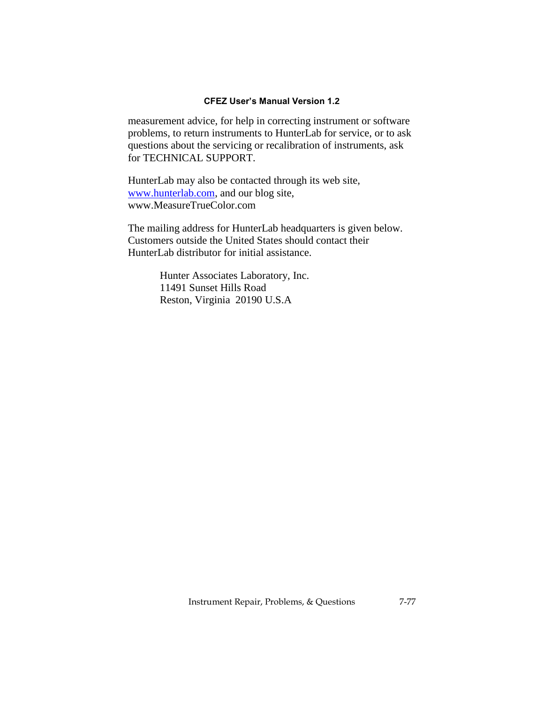measurement advice, for help in correcting instrument or software problems, to return instruments to HunterLab for service, or to ask questions about the servicing or recalibration of instruments, ask for TECHNICAL SUPPORT.

HunterLab may also be contacted through its web site, [www.hunterlab.com,](http://www.hunterlab.com/) and our blog site, www.MeasureTrueColor.com

The mailing address for HunterLab headquarters is given below. Customers outside the United States should contact their HunterLab distributor for initial assistance.

> Hunter Associates Laboratory, Inc. 11491 Sunset Hills Road Reston, Virginia 20190 U.S.A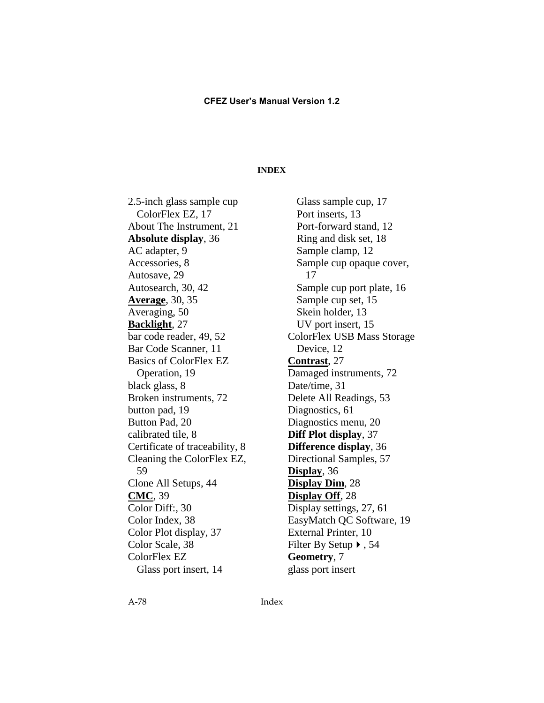#### **INDEX**

2.5-inch glass sample cup ColorFlex EZ, 17 About The Instrument, 21 **Absolute display**, 36 AC adapter, 9 Accessories, 8 Autosave, 29 Autosearch, 30, 42 **Average**, 30, 35 Averaging, 50 **Backlight**, 27 bar code reader, 49, 52 Bar Code Scanner, 11 Basics of ColorFlex EZ Operation, 19 black glass, 8 Broken instruments, 72 button pad, 19 Button Pad, 20 calibrated tile, 8 Certificate of traceability, 8 Cleaning the ColorFlex EZ, 59 Clone All Setups, 44 **CMC**, 39 Color Diff:, 30 Color Index, 38 Color Plot display, 37 Color Scale, 38 ColorFlex EZ Glass port insert, 14

Glass sample cup, 17 Port inserts, 13 Port-forward stand, 12 Ring and disk set, 18 Sample clamp, 12 Sample cup opaque cover, 17 Sample cup port plate, 16 Sample cup set, 15 Skein holder, 13 UV port insert, 15 ColorFlex USB Mass Storage Device, 12 **Contrast**, 27 Damaged instruments, 72 Date/time, 31 Delete All Readings, 53 Diagnostics, 61 Diagnostics menu, 20 **Diff Plot display**, 37 **Difference display**, 36 Directional Samples, 57 **Display**, 36 **Display Dim**, 28 **Display Off**, 28 Display settings, 27, 61 EasyMatch QC Software, 19 External Printer, 10 Filter By Setup  $\blacktriangleright$ , 54 **Geometry**, 7 glass port insert

A-78 Index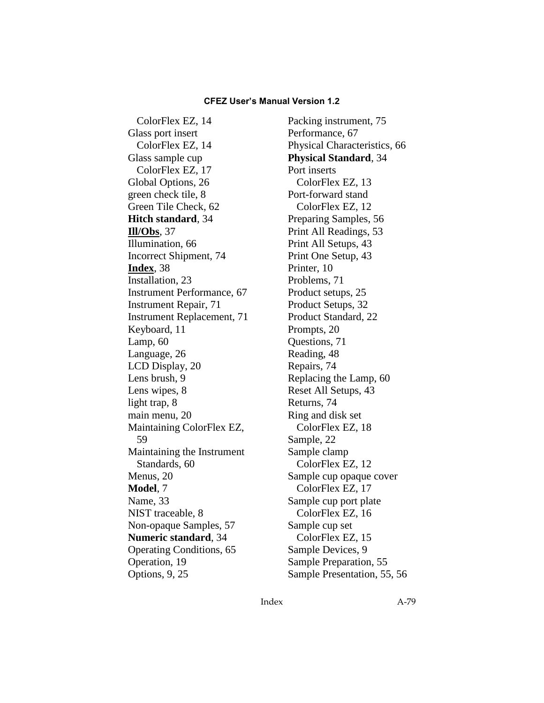ColorFlex EZ, 14 Glass port insert ColorFlex EZ, 14 Glass sample cup ColorFlex EZ, 17 Global Options, 26 green check tile, 8 Green Tile Check, 62 **Hitch standard**, 34 **Ill/Obs**, 37 Illumination, 66 Incorrect Shipment, 74 **Index**, 38 Installation, 23 Instrument Performance, 67 Instrument Repair, 71 Instrument Replacement, 71 Keyboard, 11 Lamp, 60 Language, 26 LCD Display, 20 Lens brush, 9 Lens wipes, 8 light trap, 8 main menu, 20 Maintaining ColorFlex EZ, 59 Maintaining the Instrument Standards, 60 Menus, 20 **Model**, 7 Name, 33 NIST traceable, 8 Non-opaque Samples, 57 **Numeric standard**, 34 Operating Conditions, 65 Operation, 19 Options, 9, 25

Packing instrument, 75 Performance, 67 Physical Characteristics, 66 **Physical Standard**, 34 Port inserts ColorFlex EZ, 13 Port-forward stand ColorFlex EZ, 12 Preparing Samples, 56 Print All Readings, 53 Print All Setups, 43 Print One Setup, 43 Printer, 10 Problems, 71 Product setups, 25 Product Setups, 32 Product Standard, 22 Prompts, 20 Questions, 71 Reading, 48 Repairs, 74 Replacing the Lamp, 60 Reset All Setups, 43 Returns, 74 Ring and disk set ColorFlex EZ, 18 Sample, 22 Sample clamp ColorFlex EZ, 12 Sample cup opaque cover ColorFlex EZ, 17 Sample cup port plate ColorFlex EZ, 16 Sample cup set ColorFlex EZ, 15 Sample Devices, 9 Sample Preparation, 55 Sample Presentation, 55, 56

Index A-79